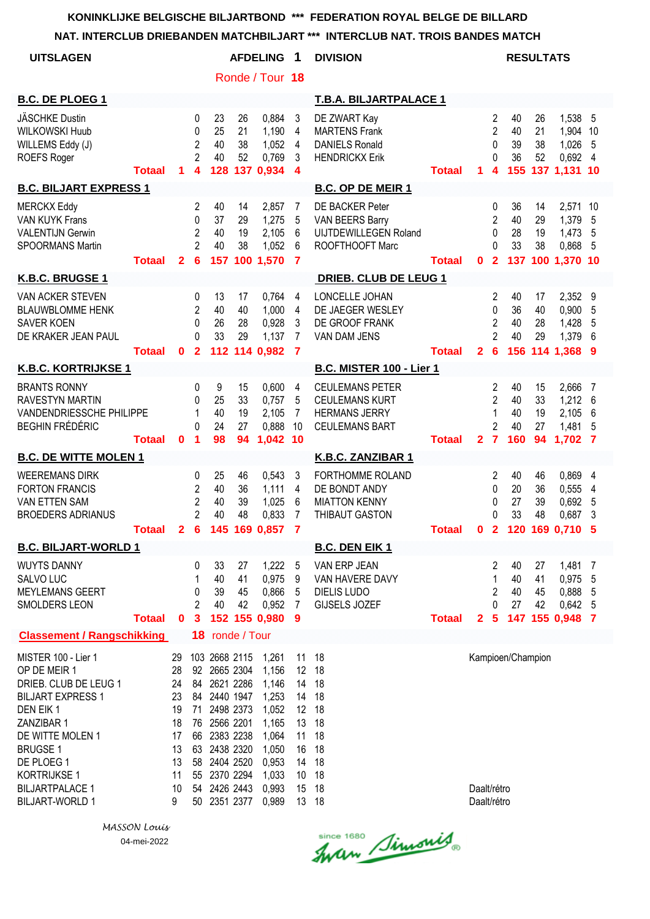#### **NAT. INTERCLUB DRIEBANDEN MATCHBILJART \*\*\* INTERCLUB NAT. TROIS BANDES MATCH**

| <b>UITSLAGEN</b>                                                                                                                                                                                                                                    |               |                                                                     |                                                           |                                                                                                                                                                                   |                                 | <b>AFDELING</b>                                                                                          | 1                                                                    | <b>DIVISION</b>                                                                                  |               |                            |                                                              | <b>RESULTATS</b>            |                             |                                                       |                                    |
|-----------------------------------------------------------------------------------------------------------------------------------------------------------------------------------------------------------------------------------------------------|---------------|---------------------------------------------------------------------|-----------------------------------------------------------|-----------------------------------------------------------------------------------------------------------------------------------------------------------------------------------|---------------------------------|----------------------------------------------------------------------------------------------------------|----------------------------------------------------------------------|--------------------------------------------------------------------------------------------------|---------------|----------------------------|--------------------------------------------------------------|-----------------------------|-----------------------------|-------------------------------------------------------|------------------------------------|
|                                                                                                                                                                                                                                                     |               |                                                                     |                                                           |                                                                                                                                                                                   |                                 | Ronde / Tour 18                                                                                          |                                                                      |                                                                                                  |               |                            |                                                              |                             |                             |                                                       |                                    |
| <b>B.C. DE PLOEG 1</b>                                                                                                                                                                                                                              |               |                                                                     |                                                           |                                                                                                                                                                                   |                                 |                                                                                                          |                                                                      | <b>T.B.A. BILJARTPALACE 1</b>                                                                    |               |                            |                                                              |                             |                             |                                                       |                                    |
| <b>JÄSCHKE Dustin</b><br><b>WILKOWSKI Huub</b><br>WILLEMS Eddy (J)<br><b>ROEFS Roger</b>                                                                                                                                                            | Totaal        | 1                                                                   | 0<br>0<br>$\overline{2}$<br>$\overline{2}$<br>4           | 23<br>25<br>40<br>40<br>128                                                                                                                                                       | 26<br>21<br>38<br>52            | 0,884<br>1,190<br>1,052<br>0,769<br>137 0,934                                                            | 3<br>$\overline{4}$<br>$\overline{4}$<br>3<br>4                      | DE ZWART Kay<br><b>MARTENS Frank</b><br><b>DANIELS Ronald</b><br><b>HENDRICKX Erik</b>           | <b>Totaal</b> | 1                          | $\overline{c}$<br>$\overline{2}$<br>0<br>0<br>4              | 40<br>40<br>39<br>36        | 26<br>21<br>38<br>52        | 1,538<br>1,904<br>1,026<br>0,692<br>155 137 1,131 10  | 5<br>10<br>5<br>4                  |
| <b>B.C. BILJART EXPRESS 1</b>                                                                                                                                                                                                                       |               |                                                                     |                                                           |                                                                                                                                                                                   |                                 |                                                                                                          |                                                                      | <b>B.C. OP DE MEIR 1</b>                                                                         |               |                            |                                                              |                             |                             |                                                       |                                    |
| <b>MERCKX Eddy</b><br><b>VAN KUYK Frans</b><br><b>VALENTIJN Gerwin</b><br><b>SPOORMANS Martin</b>                                                                                                                                                   | <b>Totaal</b> | $\mathbf{2}$                                                        | 2<br>0<br>$\overline{c}$<br>$\overline{2}$<br>6           | 40<br>37<br>40<br>40<br>157                                                                                                                                                       | 14<br>29<br>19<br>38            | 2,857<br>1,275<br>2,105<br>1,052<br>100 1,570                                                            | 7<br>5<br>6<br>6<br>$\overline{7}$                                   | <b>DE BACKER Peter</b><br>VAN BEERS Barry<br><b>UIJTDEWILLEGEN Roland</b><br>ROOFTHOOFT Marc     | <b>Totaal</b> | $\mathbf 0$                | 0<br>2<br>0<br>$\Omega$<br>$\mathbf{2}$                      | 36<br>40<br>28<br>33<br>137 | 14<br>29<br>19<br>38<br>100 | 2,571<br>1,379<br>1,473<br>0,868<br>1,370 10          | 10<br>5<br>5<br>5                  |
| K.B.C. BRUGSE 1                                                                                                                                                                                                                                     |               |                                                                     |                                                           |                                                                                                                                                                                   |                                 |                                                                                                          |                                                                      | <b>DRIEB. CLUB DE LEUG 1</b>                                                                     |               |                            |                                                              |                             |                             |                                                       |                                    |
| <b>VAN ACKER STEVEN</b><br><b>BLAUWBLOMME HENK</b><br><b>SAVER KOEN</b><br>DE KRAKER JEAN PAUL                                                                                                                                                      | <b>Totaal</b> | 0                                                                   | 0<br>$\mathbf{2}$<br>$\Omega$<br>$\Omega$<br>$\mathbf{2}$ | 13<br>40<br>26<br>33                                                                                                                                                              | 17<br>40<br>28<br>29<br>112 114 | 0,764<br>1,000<br>0,928<br>1,137<br>0,982                                                                | 4<br>4<br>3<br>7<br>7                                                | LONCELLE JOHAN<br>DE JAEGER WESLEY<br>DE GROOF FRANK<br>VAN DAM JENS                             | <b>Totaal</b> | $\mathbf{2}$               | 2<br>0<br>$\overline{2}$<br>2<br>6                           | 40<br>36<br>40<br>40<br>156 | 17<br>40<br>28<br>29        | 2,352<br>0,900<br>1,428<br>1,379<br>114 1,368 9       | 9<br>5<br>5<br>6                   |
| <b>K.B.C. KORTRIJKSE 1</b>                                                                                                                                                                                                                          |               |                                                                     |                                                           |                                                                                                                                                                                   |                                 |                                                                                                          |                                                                      | B.C. MISTER 100 - Lier 1                                                                         |               |                            |                                                              |                             |                             |                                                       |                                    |
| <b>BRANTS RONNY</b><br><b>RAVESTYN MARTIN</b><br>VANDENDRIESSCHE PHILIPPE<br><b>BEGHIN FRÉDÉRIC</b>                                                                                                                                                 | <b>Totaal</b> | $\mathbf 0$                                                         | 0<br>0<br>1<br>$\Omega$<br>1                              | 9<br>25<br>40<br>24<br>98                                                                                                                                                         | 15<br>33<br>19<br>27<br>94      | 0,600<br>0,757<br>2,105<br>0,888<br>1,042 10                                                             | 4<br>5<br>7<br>10                                                    | <b>CEULEMANS PETER</b><br><b>CEULEMANS KURT</b><br><b>HERMANS JERRY</b><br><b>CEULEMANS BART</b> | <b>Totaal</b> | $\mathbf{2}$               | 2<br>$\overline{2}$<br>1<br>$\overline{2}$<br>$\overline{7}$ | 40<br>40<br>40<br>40<br>160 | 15<br>33<br>19<br>27<br>94  | 2,666<br>1,212<br>2,105<br>1,481<br>1,702             | 7<br>6<br>6<br>5<br>$\overline{7}$ |
| <b>B.C. DE WITTE MOLEN 1</b>                                                                                                                                                                                                                        |               |                                                                     |                                                           |                                                                                                                                                                                   |                                 |                                                                                                          |                                                                      | K.B.C. ZANZIBAR 1                                                                                |               |                            |                                                              |                             |                             |                                                       |                                    |
| <b>WEEREMANS DIRK</b><br><b>FORTON FRANCIS</b><br><b>VAN ETTEN SAM</b><br><b>BROEDERS ADRIANUS</b>                                                                                                                                                  | Totaal        | $\mathbf{2}$                                                        | 0<br>2<br>$\overline{2}$<br>$\overline{2}$<br>6           | 25<br>40<br>40<br>40<br>145                                                                                                                                                       | 46<br>36<br>39<br>48<br>169     | 0,543<br>1,111<br>1,025<br>0,833<br>0,857                                                                | 3<br>4<br>6<br>$\overline{7}$<br>$\overline{7}$                      | <b>FORTHOMME ROLAND</b><br>DE BONDT ANDY<br><b>MIATTON KENNY</b><br><b>THIBAUT GASTON</b>        | <b>Totaal</b> | 0                          | 2<br>0<br>0<br>0<br>$\mathbf{2}$                             | 40<br>20<br>27<br>33<br>120 | 46<br>36<br>39<br>48<br>169 | 0,869<br>0,555<br>0,692<br>0,687<br>0,710             | 4<br>4<br>5<br>3<br>5              |
| <b>B.C. BILJART-WORLD 1</b>                                                                                                                                                                                                                         |               |                                                                     |                                                           |                                                                                                                                                                                   |                                 |                                                                                                          |                                                                      | <b>B.C. DEN EIK 1</b>                                                                            |               |                            |                                                              |                             |                             |                                                       |                                    |
| <b>WUYTS DANNY</b><br>SALVO LUC<br><b>MEYLEMANS GEERT</b><br><b>SMOLDERS LEON</b>                                                                                                                                                                   | <b>Totaal</b> | $\mathbf 0$                                                         | 0<br>1<br>0<br>2<br>$\mathbf{3}$                          | 33<br>40<br>39<br>40                                                                                                                                                              | 27<br>41<br>45<br>42            | 1,222<br>0,975<br>0,866<br>0,952<br>152 155 0,980                                                        | 5<br>9<br>5<br>7<br>9                                                | VAN ERP JEAN<br>VAN HAVERE DAVY<br>DIELIS LUDO<br>GIJSELS JOZEF                                  | <b>Totaal</b> | $\mathbf{2}$               | 2<br>1<br>2<br>0<br>5                                        | 40<br>40<br>40<br>27        | 27<br>41<br>45<br>42        | 1,481<br>0,975<br>0,888<br>0,642 5<br>147 155 0,948 7 | 7<br>5<br>5                        |
| <b>Classement / Rangschikking</b>                                                                                                                                                                                                                   |               |                                                                     |                                                           | 18 ronde / Tour                                                                                                                                                                   |                                 |                                                                                                          |                                                                      |                                                                                                  |               |                            |                                                              |                             |                             |                                                       |                                    |
| MISTER 100 - Lier 1<br>OP DE MEIR 1<br>DRIEB. CLUB DE LEUG 1<br><b>BILJART EXPRESS 1</b><br>DEN EIK 1<br>ZANZIBAR 1<br>DE WITTE MOLEN 1<br><b>BRUGSE 1</b><br>DE PLOEG 1<br><b>KORTRIJKSE 1</b><br><b>BILJARTPALACE 1</b><br><b>BILJART-WORLD 1</b> |               | 29<br>28<br>24<br>23<br>19<br>18<br>17<br>13<br>13<br>11<br>10<br>9 | 71<br>66<br>63<br>58                                      | 103 2668 2115<br>92 2665 2304<br>84 2621 2286<br>84 2440 1947<br>2498 2373<br>76 2566 2201<br>2383 2238<br>2438 2320<br>2404 2520<br>55 2370 2294<br>54 2426 2443<br>50 2351 2377 |                                 | 1,261<br>1,156<br>1,146<br>1,253<br>1,052<br>1,165<br>1,064<br>1,050<br>0,953<br>1,033<br>0,993<br>0,989 | 11<br>12<br>14<br>14<br>12<br>13<br>11<br>16<br>14<br>10<br>15<br>13 | 18<br>18<br>18<br>18<br>18<br>18<br>18<br>18<br>18<br>18<br>18<br>18                             |               | Daalt/rétro<br>Daalt/rétro |                                                              | Kampioen/Champion           |                             |                                                       |                                    |

Since 1680 Simonis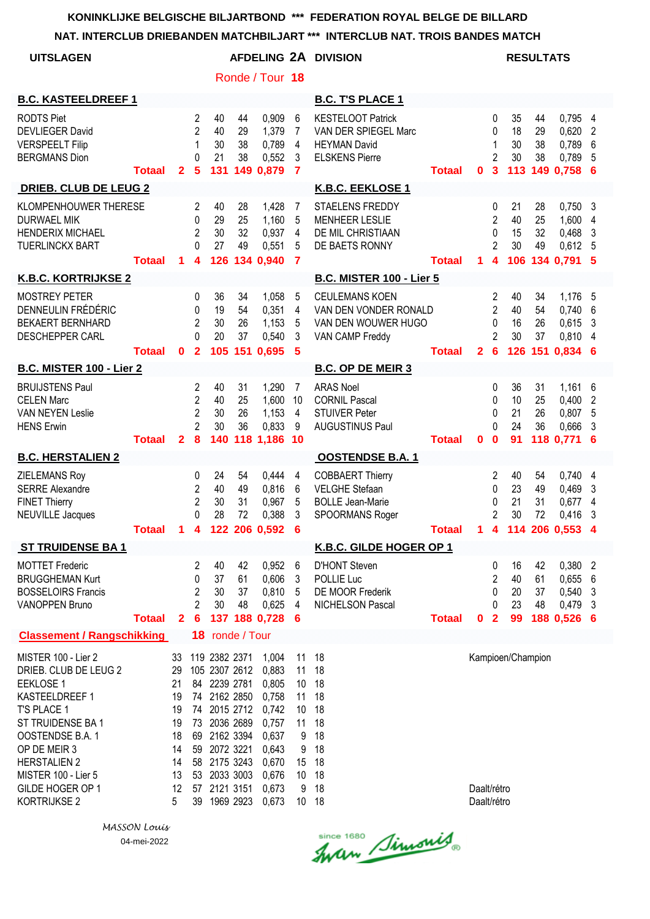**NAT. INTERCLUB DRIEBANDEN MATCHBILJART \*\*\* INTERCLUB NAT. TROIS BANDES MATCH**

| <b>UITSLAGEN</b>                                                                                                                                                                                                                             |               |                                                                     |                                                              |                                                                                                                                                                                                |                      |                                                                                                          |                                                                                             | AFDELING 2A DIVISION                                                                             |               |                            |                                                               |                             | <b>RESULTATS</b>     |                                                         |                       |
|----------------------------------------------------------------------------------------------------------------------------------------------------------------------------------------------------------------------------------------------|---------------|---------------------------------------------------------------------|--------------------------------------------------------------|------------------------------------------------------------------------------------------------------------------------------------------------------------------------------------------------|----------------------|----------------------------------------------------------------------------------------------------------|---------------------------------------------------------------------------------------------|--------------------------------------------------------------------------------------------------|---------------|----------------------------|---------------------------------------------------------------|-----------------------------|----------------------|---------------------------------------------------------|-----------------------|
|                                                                                                                                                                                                                                              |               |                                                                     |                                                              |                                                                                                                                                                                                |                      | Ronde / Tour 18                                                                                          |                                                                                             |                                                                                                  |               |                            |                                                               |                             |                      |                                                         |                       |
| <b>B.C. KASTEELDREEF 1</b>                                                                                                                                                                                                                   |               |                                                                     |                                                              |                                                                                                                                                                                                |                      |                                                                                                          |                                                                                             | <b>B.C. T'S PLACE 1</b>                                                                          |               |                            |                                                               |                             |                      |                                                         |                       |
| <b>RODTS Piet</b><br><b>DEVLIEGER David</b><br><b>VERSPEELT Filip</b><br><b>BERGMANS Dion</b>                                                                                                                                                | <b>Totaal</b> | $\mathbf{2}$                                                        | 2<br>$\overline{2}$<br>1<br>0<br>$\sqrt{5}$                  | 40<br>40<br>30<br>21<br>131                                                                                                                                                                    | 44<br>29<br>38<br>38 | 0,909<br>1,379<br>0,789<br>0,552<br>149 0,879                                                            | 6<br>7<br>4<br>3<br>$\overline{\mathbf{7}}$                                                 | <b>KESTELOOT Patrick</b><br>VAN DER SPIEGEL Marc<br><b>HEYMAN David</b><br><b>ELSKENS Pierre</b> | <b>Totaal</b> | 0                          | 0<br>0<br>1<br>2<br>$\overline{\mathbf{3}}$                   | 35<br>18<br>30<br>30        | 44<br>29<br>38<br>38 | 0,795<br>0,620<br>0,789<br>0,789<br>113 149 0,758       | 4<br>2<br>6<br>5<br>6 |
| <b>DRIEB. CLUB DE LEUG 2</b>                                                                                                                                                                                                                 |               |                                                                     |                                                              |                                                                                                                                                                                                |                      |                                                                                                          |                                                                                             | K.B.C. EEKLOSE 1                                                                                 |               |                            |                                                               |                             |                      |                                                         |                       |
| KLOMPENHOUWER THERESE<br><b>DURWAEL MIK</b><br><b>HENDERIX MICHAEL</b><br><b>TUERLINCKX BART</b>                                                                                                                                             | <b>Totaal</b> | 1                                                                   | 2<br>0<br>$\overline{2}$<br>$\Omega$<br>4                    | 40<br>29<br>30<br>27                                                                                                                                                                           | 28<br>25<br>32<br>49 | 1,428<br>1,160<br>0,937<br>0,551<br>126 134 0,940                                                        | 7<br>5<br>4<br>5<br>$\overline{7}$                                                          | <b>STAELENS FREDDY</b><br><b>MENHEER LESLIE</b><br>DE MIL CHRISTIAAN<br>DE BAETS RONNY           | <b>Totaal</b> | 1.                         | 0<br>$\overline{c}$<br>0<br>2<br>4                            | 21<br>40<br>15<br>30        | 28<br>25<br>32<br>49 | 0,750<br>1,600<br>0,468<br>$0,612$ 5<br>106 134 0.791 5 | 3<br>4<br>3           |
| <b>K.B.C. KORTRIJKSE 2</b>                                                                                                                                                                                                                   |               |                                                                     |                                                              |                                                                                                                                                                                                |                      |                                                                                                          |                                                                                             | <b>B.C. MISTER 100 - Lier 5</b>                                                                  |               |                            |                                                               |                             |                      |                                                         |                       |
| <b>MOSTREY PETER</b><br>DENNEULIN FRÉDÉRIC<br><b>BEKAERT BERNHARD</b><br><b>DESCHEPPER CARL</b>                                                                                                                                              | <b>Totaal</b> | $\mathbf{0}$                                                        | 0<br>0<br>$\overline{2}$<br>$\Omega$<br>$\overline{2}$       | 36<br>19<br>30<br>20                                                                                                                                                                           | 34<br>54<br>26<br>37 | 1,058<br>0,351<br>1,153<br>0,540<br>105 151 0,695                                                        | 5<br>4<br>5<br>3<br>5                                                                       | <b>CEULEMANS KOEN</b><br>VAN DEN VONDER RONALD<br>VAN DEN WOUWER HUGO<br>VAN CAMP Freddy         | <b>Totaal</b> | $\mathbf{2}$               | 2<br>$\overline{2}$<br>0<br>$\mathfrak{p}$<br>$6\phantom{1}6$ | 40<br>40<br>16<br>30        | 34<br>54<br>26<br>37 | 1,176<br>0,740<br>0,615<br>0,810 4<br>126 151 0.834 6   | -5<br>6<br>3          |
| <b>B.C. MISTER 100 - Lier 2</b>                                                                                                                                                                                                              |               |                                                                     |                                                              |                                                                                                                                                                                                |                      |                                                                                                          |                                                                                             | <b>B.C. OP DE MEIR 3</b>                                                                         |               |                            |                                                               |                             |                      |                                                         |                       |
| <b>BRUIJSTENS Paul</b><br><b>CELEN Marc</b><br><b>VAN NEYEN Leslie</b><br><b>HENS Erwin</b>                                                                                                                                                  | <b>Totaal</b> | $\overline{2}$                                                      | 2<br>$\overline{2}$<br>$\overline{2}$<br>$\overline{2}$<br>8 | 40<br>40<br>30<br>30<br>140                                                                                                                                                                    | 31<br>25<br>26<br>36 | 1,290<br>1,600<br>1,153<br>0,833<br>118 1,186 10                                                         | 7<br>10<br>4<br>9                                                                           | <b>ARAS Noel</b><br><b>CORNIL Pascal</b><br><b>STUIVER Peter</b><br><b>AUGUSTINUS Paul</b>       | <b>Totaal</b> | 0                          | 0<br>0<br>$\Omega$<br>0<br>$\bf{0}$                           | 36<br>10<br>21<br>24<br>91  | 31<br>25<br>26<br>36 | 1,161<br>0,400<br>0,807<br>0,666<br>118 0,771           | 6<br>2<br>5<br>3<br>6 |
| <b>B.C. HERSTALIEN 2</b>                                                                                                                                                                                                                     |               |                                                                     |                                                              |                                                                                                                                                                                                |                      |                                                                                                          |                                                                                             | <b>OOSTENDSE B.A. 1</b>                                                                          |               |                            |                                                               |                             |                      |                                                         |                       |
| ZIELEMANS Roy<br><b>SERRE Alexandre</b><br><b>FINET Thierry</b><br><b>NEUVILLE Jacques</b>                                                                                                                                                   | <b>Totaal</b> | 1                                                                   | 0<br>$\overline{\mathbf{c}}$<br>$\overline{2}$<br>0<br>4     | 24<br>40<br>30<br>28<br>122                                                                                                                                                                    | 54<br>49<br>31<br>72 | 0,444<br>0,816<br>0,967<br>0,388<br>206 0,592                                                            | 4<br>6<br>5<br>3<br>6                                                                       | <b>COBBAERT Thierry</b><br><b>VELGHE Stefaan</b><br><b>BOLLE Jean-Marie</b><br>SPOORMANS Roger   | <b>Totaal</b> | 1                          | 2<br>0<br>0<br>2<br>$\overline{\mathbf{4}}$                   | 40<br>23<br>21<br>30<br>114 | 54<br>49<br>31<br>72 | $0,740$ 4<br>0,469<br>0,677<br>0,416<br>206 0.553       | 3<br>4<br>3<br>4      |
| <b>ST TRUIDENSE BA1</b>                                                                                                                                                                                                                      |               |                                                                     |                                                              |                                                                                                                                                                                                |                      |                                                                                                          |                                                                                             | K.B.C. GILDE HOGER OP 1                                                                          |               |                            |                                                               |                             |                      |                                                         |                       |
| <b>MOTTET Frederic</b><br><b>BRUGGHEMAN Kurt</b><br><b>BOSSELOIRS Francis</b><br><b>VANOPPEN Bruno</b>                                                                                                                                       | <b>Totaal</b> | $\mathbf{2}$                                                        | 2<br>0<br>$\overline{c}$<br>$\overline{2}$<br>6              | 40<br>37<br>30<br>30                                                                                                                                                                           | 42<br>61<br>37<br>48 | 0,952<br>0,606<br>0,810<br>0,625<br>137 188 0,728                                                        | 6<br>3<br>5<br>4<br>6                                                                       | <b>D'HONT Steven</b><br>POLLIE Luc<br>DE MOOR Frederik<br>NICHELSON Pascal                       | <b>Totaal</b> | 0                          | 0<br>$\overline{c}$<br>0<br>0<br>$\overline{2}$               | 16<br>40<br>20<br>23<br>99  | 42<br>61<br>37<br>48 | 0,380<br>0,655<br>0,540<br>0,479<br>188 0,526 6         | 2<br>6<br>3<br>3      |
| <b>Classement / Rangschikking</b>                                                                                                                                                                                                            |               |                                                                     |                                                              | 18 ronde / Tour                                                                                                                                                                                |                      |                                                                                                          |                                                                                             |                                                                                                  |               |                            |                                                               |                             |                      |                                                         |                       |
| MISTER 100 - Lier 2<br>DRIEB. CLUB DE LEUG 2<br><b>EEKLOSE 1</b><br>KASTEELDREEF 1<br>T'S PLACE 1<br>ST TRUIDENSE BA 1<br>OOSTENDSE B.A. 1<br>OP DE MEIR 3<br><b>HERSTALIEN 2</b><br>MISTER 100 - Lier 5<br>GILDE HOGER OP 1<br>KORTRIJKSE 2 |               | 33<br>29<br>21<br>19<br>19<br>19<br>18<br>14<br>14<br>13<br>12<br>5 |                                                              | 119 2382 2371<br>105 2307 2612<br>84 2239 2781<br>74 2162 2850<br>74 2015 2712<br>73 2036 2689<br>69 2162 3394<br>59 2072 3221<br>58 2175 3243<br>53 2033 3003<br>57 2121 3151<br>39 1969 2923 |                      | 1,004<br>0,883<br>0,805<br>0,758<br>0,742<br>0,757<br>0,637<br>0,643<br>0,670<br>0,676<br>0,673<br>0,673 | 11<br>11<br>10<br>11<br>10 <sup>°</sup><br>11<br>9<br>9<br>15<br>10 <sup>°</sup><br>9<br>10 | 18<br>18<br>18<br>18<br>18<br>18<br>18<br>18<br>18<br>18<br>18<br>18                             |               | Daalt/rétro<br>Daalt/rétro |                                                               | Kampioen/Champion           |                      |                                                         |                       |

*MASSON Louis* 04-mei-2022

Since 1680 Simonis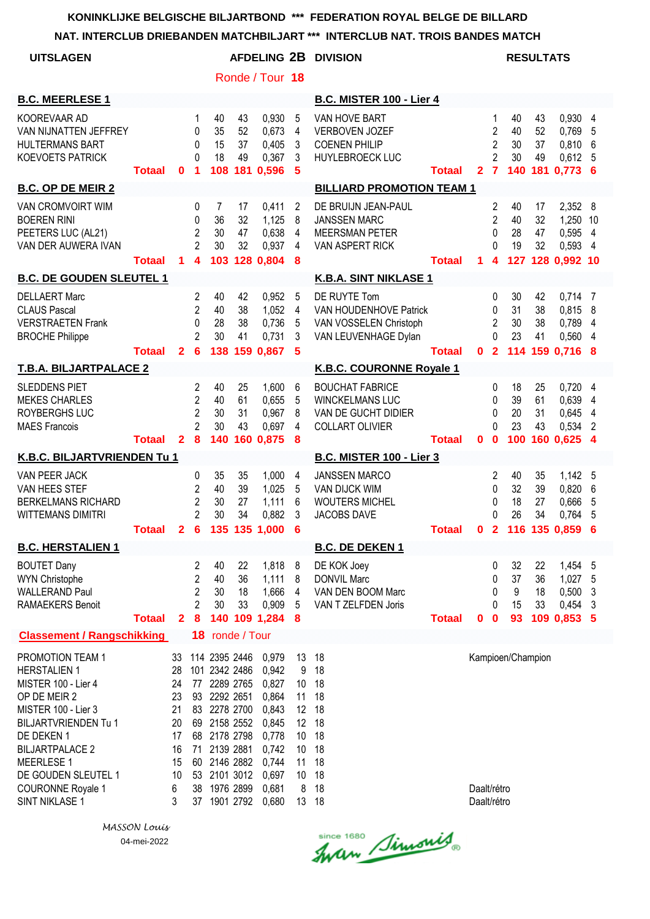# **NAT. INTERCLUB DRIEBANDEN MATCHBILJART \*\*\* INTERCLUB NAT. TROIS BANDES MATCH**

| NAI. INTERCLUB DRIEBANDEN MATCHBILJART                                                                                                                                                                                                                                 |                            |                                                                    |                                                                           |                                                                                                                                                                             |                             |                                                                                                          |                                                        | AND INTERVED BY NATE TROIS BANDES MATCH                                                     |               |                            |                                                           |                             |                      |                                                           |                          |
|------------------------------------------------------------------------------------------------------------------------------------------------------------------------------------------------------------------------------------------------------------------------|----------------------------|--------------------------------------------------------------------|---------------------------------------------------------------------------|-----------------------------------------------------------------------------------------------------------------------------------------------------------------------------|-----------------------------|----------------------------------------------------------------------------------------------------------|--------------------------------------------------------|---------------------------------------------------------------------------------------------|---------------|----------------------------|-----------------------------------------------------------|-----------------------------|----------------------|-----------------------------------------------------------|--------------------------|
| <b>UITSLAGEN</b>                                                                                                                                                                                                                                                       |                            |                                                                    |                                                                           |                                                                                                                                                                             |                             |                                                                                                          |                                                        | <b>AFDELING 2B DIVISION</b>                                                                 |               |                            |                                                           |                             | <b>RESULTATS</b>     |                                                           |                          |
|                                                                                                                                                                                                                                                                        |                            |                                                                    |                                                                           |                                                                                                                                                                             |                             | Ronde / Tour 18                                                                                          |                                                        |                                                                                             |               |                            |                                                           |                             |                      |                                                           |                          |
| <b>B.C. MEERLESE 1</b>                                                                                                                                                                                                                                                 |                            |                                                                    |                                                                           |                                                                                                                                                                             |                             |                                                                                                          |                                                        | <b>B.C. MISTER 100 - Lier 4</b>                                                             |               |                            |                                                           |                             |                      |                                                           |                          |
| KOOREVAAR AD<br>VAN NIJNATTEN JEFFREY<br>HULTERMANS BART<br><b>KOEVOETS PATRICK</b>                                                                                                                                                                                    | <b>Totaal</b>              | $\bf{0}$                                                           | 1<br>0<br>$\Omega$<br>$\Omega$<br>$\blacktriangleleft$                    | 40<br>35<br>15<br>18<br>108                                                                                                                                                 | 43<br>52<br>37<br>49<br>181 | 0,930<br>0,673<br>0,405<br>0,367<br>0,596                                                                | 5<br>4<br>3<br>3<br>$5\phantom{1}$                     | VAN HOVE BART<br><b>VERBOVEN JOZEF</b><br><b>COENEN PHILIP</b><br><b>HUYLEBROECK LUC</b>    | <b>Totaal</b> | 2 <sub>7</sub>             | 1<br>$\overline{2}$<br>$\overline{2}$<br>$\overline{2}$   | 40<br>40<br>30<br>30<br>140 | 43<br>52<br>37<br>49 | 0,930 4<br>0,769<br>0,810<br>0,612,5<br>181 0,773 6       | 5<br>6                   |
| <b>B.C. OP DE MEIR 2</b>                                                                                                                                                                                                                                               |                            |                                                                    |                                                                           |                                                                                                                                                                             |                             |                                                                                                          |                                                        | <b>BILLIARD PROMOTION TEAM 1</b>                                                            |               |                            |                                                           |                             |                      |                                                           |                          |
| VAN CROMVOIRT WIM<br><b>BOEREN RINI</b><br>PEETERS LUC (AL21)<br>VAN DER AUWERA IVAN                                                                                                                                                                                   | <b>Totaal</b>              | $\blacktriangleleft$                                               | 0<br>0<br>$\overline{c}$<br>$\overline{2}$<br>$\overline{\mathbf{4}}$     | 7<br>36<br>30<br>30<br>103                                                                                                                                                  | 17<br>32<br>47<br>32        | 0,411<br>1,125<br>0,638<br>0,937<br>128 0,804                                                            | 2<br>8<br>4<br>4<br>8                                  | DE BRUIJN JEAN-PAUL<br><b>JANSSEN MARC</b><br><b>MEERSMAN PETER</b><br>VAN ASPERT RICK      | <b>Totaal</b> | $\mathbf 1$                | 2<br>$\overline{2}$<br>$\mathbf{0}$<br>0<br>4             | 40<br>40<br>28<br>19        | 17<br>32<br>47<br>32 | 2,352<br>1,250<br>0,595<br>0,593<br>127 128 0,992 10      | 8<br>10<br>4<br>4        |
| <b>B.C. DE GOUDEN SLEUTEL 1</b>                                                                                                                                                                                                                                        |                            |                                                                    |                                                                           |                                                                                                                                                                             |                             |                                                                                                          |                                                        | K.B.A. SINT NIKLASE 1                                                                       |               |                            |                                                           |                             |                      |                                                           |                          |
| <b>DELLAERT Marc</b><br><b>CLAUS Pascal</b><br><b>VERSTRAETEN Frank</b><br><b>BROCHE Philippe</b>                                                                                                                                                                      | <b>Totaal</b>              | $\overline{2}$                                                     | 2<br>$\overline{2}$<br>0<br>$\overline{2}$<br>6                           | 40<br>40<br>28<br>30<br>138                                                                                                                                                 | 42<br>38<br>38<br>41<br>159 | 0,952<br>1,052<br>0,736<br>0,731<br>0,867                                                                | 5<br>4<br>5<br>3<br>$\sqrt{5}$                         | DE RUYTE Tom<br>VAN HOUDENHOVE Patrick<br>VAN VOSSELEN Christoph<br>VAN LEUVENHAGE Dylan    | <b>Totaal</b> | $\mathbf{0}$               | 0<br>0<br>$\overline{2}$<br>0<br>$\overline{2}$           | 30<br>31<br>30<br>23        | 42<br>38<br>38<br>41 | $0,714$ 7<br>0,815<br>0,789<br>0,560<br>114 159 0,716 8   | 8<br>4<br>$\overline{4}$ |
| <b>T.B.A. BILJARTPALACE 2</b>                                                                                                                                                                                                                                          |                            |                                                                    |                                                                           |                                                                                                                                                                             |                             |                                                                                                          |                                                        | K.B.C. COURONNE Royale 1                                                                    |               |                            |                                                           |                             |                      |                                                           |                          |
| <b>SLEDDENS PIET</b><br><b>MEKES CHARLES</b><br>ROYBERGHS LUC<br><b>MAES Francois</b>                                                                                                                                                                                  | <b>Totaal</b>              | $\mathbf{2}$                                                       | $\overline{2}$<br>$\overline{2}$<br>$\overline{2}$<br>$\overline{2}$<br>8 | 40<br>40<br>30<br>30<br>140                                                                                                                                                 | 25<br>61<br>31<br>43<br>160 | 1,600<br>0,655<br>0,967<br>0,697<br>0,875                                                                | 6<br>5<br>8<br>4<br>8                                  | <b>BOUCHAT FABRICE</b><br><b>WINCKELMANS LUC</b><br>VAN DE GUCHT DIDIER<br>COLLART OLIVIER  | <b>Totaal</b> | 0                          | 0<br>$\mathbf{0}$<br>$\mathbf{0}$<br>$\Omega$<br>$\bf{0}$ | 18<br>39<br>20<br>23<br>100 | 25<br>61<br>31<br>43 | $0,720$ 4<br>0,639<br>0,645<br>0,534<br>160 0,625 4       | 4<br>4<br>2              |
| K.B.C. BILJARTVRIENDEN Tu 1                                                                                                                                                                                                                                            |                            |                                                                    |                                                                           |                                                                                                                                                                             |                             |                                                                                                          |                                                        | <b>B.C. MISTER 100 - Lier 3</b>                                                             |               |                            |                                                           |                             |                      |                                                           |                          |
| VAN PEER JACK<br>VAN HEES STEF<br><b>BERKELMANS RICHARD</b><br><b>WITTEMANS DIMITRI</b>                                                                                                                                                                                | Totaal 2 6 135 135 1,000 6 |                                                                    | 0<br>2<br>$\overline{2}$<br>$\overline{2}$                                | 35<br>40<br>30<br>30                                                                                                                                                        | 35<br>39<br>27<br>34        | 1,000<br>1,025<br>1,111<br>0,882                                                                         | 4<br>5<br>6<br>3                                       | <b>JANSSEN MARCO</b><br><b>VAN DIJCK WIM</b><br><b>WOUTERS MICHEL</b><br><b>JACOBS DAVE</b> | <b>Totaal</b> |                            | $\overline{c}$<br>0<br>0<br>$\Omega$                      | 40<br>32<br>18<br>26        | 35<br>39<br>27<br>34 | 1,142 5<br>0,820<br>0,666<br>0,764<br>0 2 116 135 0,859 6 | 6<br>5<br>5              |
| <b>B.C. HERSTALIEN 1</b>                                                                                                                                                                                                                                               |                            |                                                                    |                                                                           |                                                                                                                                                                             |                             |                                                                                                          |                                                        | <b>B.C. DE DEKEN 1</b>                                                                      |               |                            |                                                           |                             |                      |                                                           |                          |
| <b>BOUTET Dany</b><br><b>WYN Christophe</b><br><b>WALLERAND Paul</b><br><b>RAMAEKERS Benoit</b>                                                                                                                                                                        | <b>Totaal</b>              | $\mathbf{2}$                                                       | 2<br>$\overline{2}$<br>$\overline{2}$<br>$\overline{2}$<br>8              | 40<br>40<br>30<br>30                                                                                                                                                        | 22<br>36<br>18<br>33        | 1,818<br>1,111<br>1,666<br>0,909<br>140 109 1,284                                                        | 8<br>8<br>4<br>5<br>8                                  | DE KOK Joey<br><b>DONVIL Marc</b><br>VAN DEN BOOM Marc<br>VAN T ZELFDEN Joris               | <b>Totaal</b> | $\mathbf 0$                | 0<br>0<br>0<br>0<br>$\mathbf 0$                           | 32<br>37<br>9<br>15<br>93   | 22<br>36<br>18<br>33 | 1,454 5<br>1,027<br>0,500<br>0,454<br>109 0,853 5         | 5<br>3<br>3              |
| <b>Classement / Rangschikking</b>                                                                                                                                                                                                                                      |                            |                                                                    |                                                                           | 18 ronde / Tour                                                                                                                                                             |                             |                                                                                                          |                                                        |                                                                                             |               |                            |                                                           |                             |                      |                                                           |                          |
| PROMOTION TEAM 1<br><b>HERSTALIEN 1</b><br>MISTER 100 - Lier 4<br>OP DE MEIR 2<br>MISTER 100 - Lier 3<br><b>BILJARTVRIENDEN Tu 1</b><br>DE DEKEN 1<br><b>BILJARTPALACE 2</b><br><b>MEERLESE 1</b><br>DE GOUDEN SLEUTEL 1<br><b>COURONNE Royale 1</b><br>SINT NIKLASE 1 |                            | 33<br>28<br>24<br>23<br>21<br>20<br>17<br>16<br>15<br>10<br>6<br>3 | 38<br>37                                                                  | 114 2395 2446<br>101 2342 2486<br>77 2289 2765<br>93 2292 2651<br>83 2278 2700<br>69 2158 2552<br>68 2178 2798<br>71 2139 2881<br>60 2146 2882<br>53 2101 3012<br>1976 2899 | 1901 2792                   | 0,979<br>0,942<br>0,827<br>0,864<br>0,843<br>0,845<br>0,778<br>0,742<br>0,744<br>0,697<br>0,681<br>0,680 | 13<br>9<br>10<br>11<br>10<br>10<br>11<br>10<br>8<br>13 | 18<br>18<br>18<br>18<br>12 18<br>12 18<br>18<br>18<br>18<br>18<br>18<br>18                  |               | Daalt/rétro<br>Daalt/rétro |                                                           | Kampioen/Champion           |                      |                                                           |                          |

since 1680 Simonis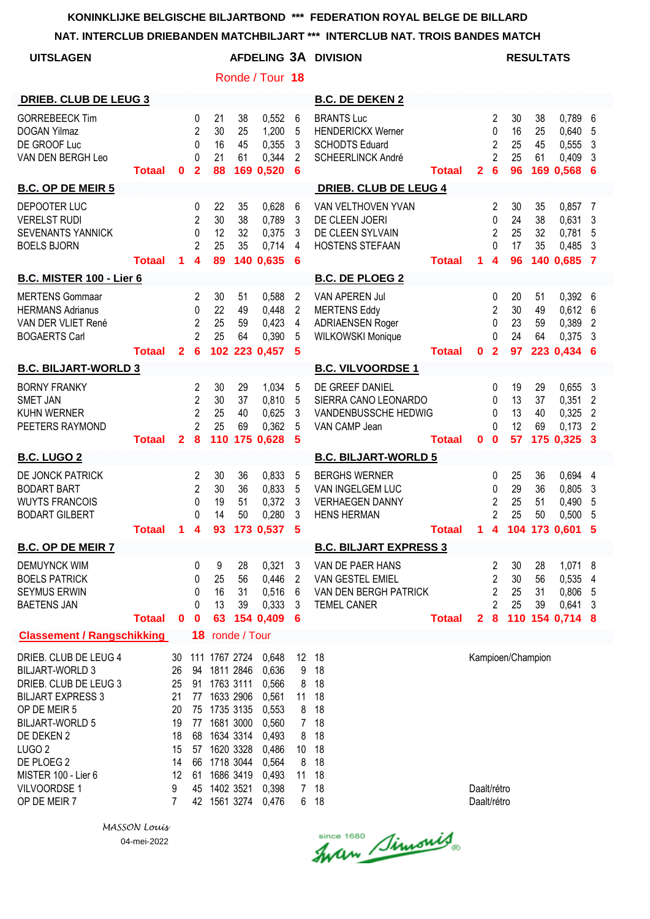#### **NAT. INTERCLUB DRIEBANDEN MATCHBILJART \*\*\* INTERCLUB NAT. TROIS BANDES MATCH**

|                                                                                                                                                                                                                                                        |               |                                                                    |                                                              |                                                                                                                                                                               |                      |                                                                                                          |                                                                                      | NAT. INTERCLUB DRIEBANDEN MATCHBILJART ***  INTERCLUB NAT. TROIS BANDES MATCH                |               |                            |                                                                                      |                            |                      |                                                               |                                                    |
|--------------------------------------------------------------------------------------------------------------------------------------------------------------------------------------------------------------------------------------------------------|---------------|--------------------------------------------------------------------|--------------------------------------------------------------|-------------------------------------------------------------------------------------------------------------------------------------------------------------------------------|----------------------|----------------------------------------------------------------------------------------------------------|--------------------------------------------------------------------------------------|----------------------------------------------------------------------------------------------|---------------|----------------------------|--------------------------------------------------------------------------------------|----------------------------|----------------------|---------------------------------------------------------------|----------------------------------------------------|
| <b>UITSLAGEN</b>                                                                                                                                                                                                                                       |               |                                                                    |                                                              |                                                                                                                                                                               |                      |                                                                                                          |                                                                                      | AFDELING 3A DIVISION                                                                         |               |                            |                                                                                      | <b>RESULTATS</b>           |                      |                                                               |                                                    |
|                                                                                                                                                                                                                                                        |               |                                                                    |                                                              |                                                                                                                                                                               |                      | Ronde / Tour 18                                                                                          |                                                                                      |                                                                                              |               |                            |                                                                                      |                            |                      |                                                               |                                                    |
| <b>DRIEB. CLUB DE LEUG 3</b>                                                                                                                                                                                                                           |               |                                                                    |                                                              |                                                                                                                                                                               |                      |                                                                                                          |                                                                                      | <b>B.C. DE DEKEN 2</b>                                                                       |               |                            |                                                                                      |                            |                      |                                                               |                                                    |
| <b>GORREBEECK Tim</b><br><b>DOGAN Yilmaz</b><br>DE GROOF Luc<br>VAN DEN BERGH Leo                                                                                                                                                                      | <b>Totaal</b> | 0                                                                  | 0<br>$\overline{2}$<br>$\mathbf 0$<br>0<br>$\overline{2}$    | 21<br>30<br>16<br>21<br>88                                                                                                                                                    | 38<br>25<br>45<br>61 | 0,552<br>1,200<br>0,355<br>0,344<br>169 0,520                                                            | 6<br>5<br>3<br>2<br>6                                                                | <b>BRANTS Luc</b><br><b>HENDERICKX Werner</b><br><b>SCHODTS Eduard</b><br>SCHEERLINCK André  | <b>Totaal</b> | $\mathbf{2}$               | $\overline{c}$<br>$\mathbf 0$<br>$\overline{c}$<br>$\overline{2}$<br>$6\phantom{1}6$ | 30<br>16<br>25<br>25<br>96 | 38<br>25<br>45<br>61 | 0,789<br>0,640<br>0,555<br>0,409<br>169 0,568 6               | 6<br>5<br>3<br>3                                   |
| <b>B.C. OP DE MEIR 5</b>                                                                                                                                                                                                                               |               |                                                                    |                                                              |                                                                                                                                                                               |                      |                                                                                                          |                                                                                      | <b>DRIEB. CLUB DE LEUG 4</b>                                                                 |               |                            |                                                                                      |                            |                      |                                                               |                                                    |
| DEPOOTER LUC<br><b>VERELST RUDI</b><br>SEVENANTS YANNICK<br><b>BOELS BJORN</b>                                                                                                                                                                         | <b>Totaal</b> | 1                                                                  | 0<br>$\overline{2}$<br>0<br>$\overline{2}$<br>4              | 22<br>30<br>12<br>25<br>89                                                                                                                                                    | 35<br>38<br>32<br>35 | 0,628<br>0,789<br>0,375<br>0,714<br>140 0,635                                                            | 6<br>3<br>3<br>4<br>6                                                                | VAN VELTHOVEN YVAN<br>DE CLEEN JOERI<br>DE CLEEN SYLVAIN<br><b>HOSTENS STEFAAN</b>           | <b>Totaal</b> | 1.                         | 2<br>$\Omega$<br>$\overline{2}$<br>$\Omega$<br>$\overline{\mathbf{4}}$               | 30<br>24<br>25<br>17<br>96 | 35<br>38<br>32<br>35 | 0,857<br>0,631<br>0,781<br>0,485<br>140 0,685 7               | $\overline{7}$<br>$\mathbf{3}$<br>5<br>3           |
| <b>B.C. MISTER 100 - Lier 6</b>                                                                                                                                                                                                                        |               |                                                                    |                                                              |                                                                                                                                                                               |                      |                                                                                                          |                                                                                      | <b>B.C. DE PLOEG 2</b>                                                                       |               |                            |                                                                                      |                            |                      |                                                               |                                                    |
| <b>MERTENS Gommaar</b><br><b>HERMANS Adrianus</b><br>VAN DER VLIET René<br><b>BOGAERTS Carl</b>                                                                                                                                                        | <b>Totaal</b> | $\overline{2}$                                                     | 2<br>0<br>$\overline{2}$<br>$\overline{2}$<br>6              | 30<br>22<br>25<br>25                                                                                                                                                          | 51<br>49<br>59<br>64 | 0,588<br>0,448<br>0,423<br>0,390<br>102 223 0,457                                                        | $\overline{2}$<br>$\overline{2}$<br>$\overline{4}$<br>5<br>5                         | VAN APEREN Jul<br><b>MERTENS Eddy</b><br><b>ADRIAENSEN Roger</b><br><b>WILKOWSKI Monique</b> | <b>Totaal</b> | $\mathbf 0$                | 0<br>$\overline{2}$<br>0<br>$\Omega$<br>$\overline{2}$                               | 20<br>30<br>23<br>24<br>97 | 51<br>49<br>59<br>64 | $0,392$ 6<br>$0,612$ 6<br>0,389 2<br>$0,375$ 3<br>223 0,434 6 |                                                    |
| <b>B.C. BILJART-WORLD 3</b>                                                                                                                                                                                                                            |               |                                                                    |                                                              |                                                                                                                                                                               |                      |                                                                                                          |                                                                                      | <b>B.C. VILVOORDSE 1</b>                                                                     |               |                            |                                                                                      |                            |                      |                                                               |                                                    |
| <b>BORNY FRANKY</b><br><b>SMET JAN</b><br><b>KUHN WERNER</b><br>PEETERS RAYMOND                                                                                                                                                                        | <b>Totaal</b> | $\overline{2}$                                                     | 2<br>$\overline{2}$<br>$\overline{2}$<br>$\overline{2}$<br>8 | 30<br>30<br>25<br>25<br>110                                                                                                                                                   | 29<br>37<br>40<br>69 | 1,034<br>0,810<br>0,625<br>0,362<br>175 0,628                                                            | 5<br>5<br>3<br>5<br>5                                                                | DE GREEF DANIEL<br>SIERRA CANO LEONARDO<br>VANDENBUSSCHE HEDWIG<br>VAN CAMP Jean             | <b>Totaal</b> | $\mathbf{0}$               | 0<br>0<br>0<br>0<br>$\bf{0}$                                                         | 19<br>13<br>13<br>12<br>57 | 29<br>37<br>40<br>69 | 0,6553<br>0,351<br>0,325<br>0,173<br>175 0,325 3              | $\overline{2}$<br>$\overline{2}$<br>$\overline{2}$ |
| <b>B.C. LUGO 2</b>                                                                                                                                                                                                                                     |               |                                                                    |                                                              |                                                                                                                                                                               |                      |                                                                                                          |                                                                                      | <b>B.C. BILJART-WORLD 5</b>                                                                  |               |                            |                                                                                      |                            |                      |                                                               |                                                    |
| DE JONCK PATRICK<br><b>BODART BART</b><br><b>WUYTS FRANCOIS</b><br><b>BODART GILBERT</b>                                                                                                                                                               | <b>Totaal</b> | 1                                                                  | 2<br>$\overline{2}$<br>0<br>$\Omega$<br>4                    | 30<br>30<br>19<br>14<br>93                                                                                                                                                    | 36<br>36<br>51<br>50 | 0,833<br>0,833<br>0,372<br>0,280<br>173 0,537 5                                                          | 5<br>5<br>3<br>3                                                                     | <b>BERGHS WERNER</b><br>VAN INGELGEM LUC<br><b>VERHAEGEN DANNY</b><br><b>HENS HERMAN</b>     | <b>Totaal</b> | 1.                         | 0<br>0<br>$\overline{c}$<br>$\overline{2}$                                           | 25<br>29<br>25<br>25       | 36<br>36<br>51<br>50 | 0,694 4<br>0,805<br>0,490<br>0,500<br>4 104 173 0,601 5       | 3<br>5<br>5                                        |
| <b>B.C. OP DE MEIR 7</b>                                                                                                                                                                                                                               |               |                                                                    |                                                              |                                                                                                                                                                               |                      |                                                                                                          |                                                                                      | <b>B.C. BILJART EXPRESS 3</b>                                                                |               |                            |                                                                                      |                            |                      |                                                               |                                                    |
| <b>DEMUYNCK WIM</b><br><b>BOELS PATRICK</b><br><b>SEYMUS ERWIN</b><br><b>BAETENS JAN</b>                                                                                                                                                               | <b>Totaal</b> | $\mathbf 0$                                                        | 0<br>0<br>0<br>0<br>$\bf{0}$                                 | 9<br>25<br>16<br>13<br>63                                                                                                                                                     | 28<br>56<br>31<br>39 | 0,321<br>0,446<br>0,516<br>0,333<br>154 0,409                                                            | 3<br>2<br>6<br>3<br>6                                                                | VAN DE PAER HANS<br>VAN GESTEL EMIEL<br>VAN DEN BERGH PATRICK<br><b>TEMEL CANER</b>          | <b>Totaal</b> | $\mathbf{2}$               | 2<br>2<br>2<br>2<br>$\boldsymbol{8}$                                                 | 30<br>30<br>25<br>25       | 28<br>56<br>31<br>39 | 1,071 8<br>0,535<br>0,806 5<br>0,641<br>110 154 0,714 8       | 4<br>-3                                            |
| <b>Classement / Rangschikking</b>                                                                                                                                                                                                                      |               |                                                                    |                                                              | 18 ronde / Tour                                                                                                                                                               |                      |                                                                                                          |                                                                                      |                                                                                              |               |                            |                                                                                      |                            |                      |                                                               |                                                    |
| DRIEB. CLUB DE LEUG 4<br><b>BILJART-WORLD 3</b><br>DRIEB. CLUB DE LEUG 3<br><b>BILJART EXPRESS 3</b><br>OP DE MEIR 5<br><b>BILJART-WORLD 5</b><br>DE DEKEN 2<br>LUGO <sub>2</sub><br>DE PLOEG 2<br>MISTER 100 - Lier 6<br>VILVOORDSE 1<br>OP DE MEIR 7 |               | 30<br>26<br>25<br>21<br>20<br>19<br>18<br>15<br>14<br>12<br>9<br>7 | 61                                                           | 111 1767 2724<br>94 1811 2846<br>91 1763 3111<br>77 1633 2906<br>75 1735 3135<br>77 1681 3000<br>68 1634 3314<br>57 1620 3328<br>66 1718 3044<br>45 1402 3521<br>42 1561 3274 | 1686 3419            | 0,648<br>0,636<br>0,566<br>0,561<br>0,553<br>0,560<br>0,493<br>0,486<br>0,564<br>0,493<br>0,398<br>0,476 | 12 18<br>9<br>8<br>11<br>8<br>7 <sup>7</sup><br>8<br>10<br>8<br>11<br>$\overline{7}$ | 18<br>18<br>18<br>18<br>18<br>18<br>18<br>18<br>18<br>18<br>6 18                             |               | Daalt/rétro<br>Daalt/rétro |                                                                                      | Kampioen/Champion          |                      |                                                               |                                                    |

Since 1680 Simonis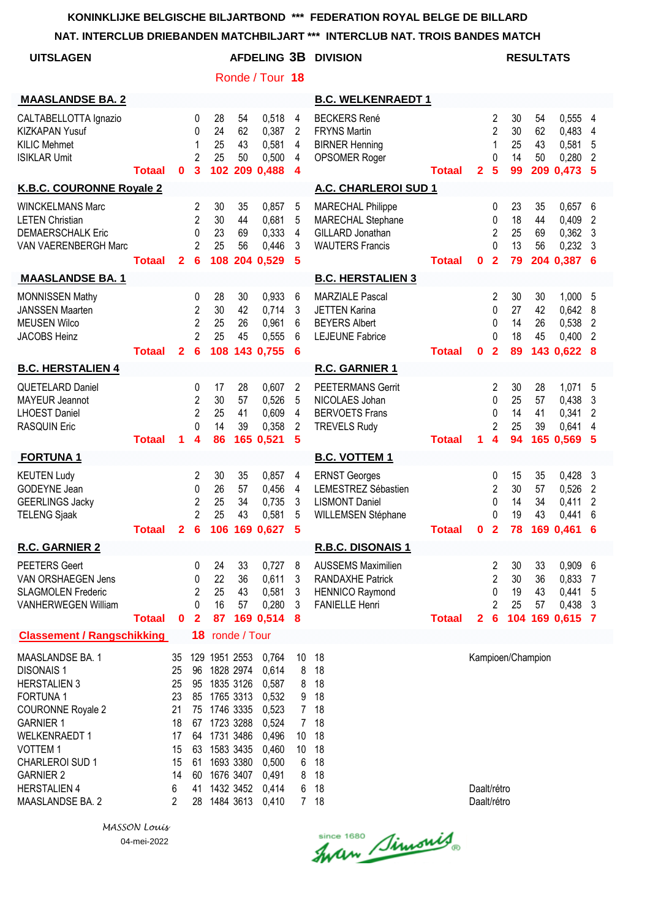**NAT. INTERCLUB DRIEBANDEN MATCHBILJART \*\*\* INTERCLUB NAT. TROIS BANDES MATCH**

| NAI. INTERULUD DRIEDANDEN MATUMBILJAR I                                                                                                                                                                                                                   |               |                                                                    |                                                                |                                                                                                                                                 |                      |                                                                                                          |                                                                                                            | IN I ERGLUD NAT. TRUIS DANDES MATGH                                                                     |               |                            |                                                                            |                            |                             |                                                         |                                                          |
|-----------------------------------------------------------------------------------------------------------------------------------------------------------------------------------------------------------------------------------------------------------|---------------|--------------------------------------------------------------------|----------------------------------------------------------------|-------------------------------------------------------------------------------------------------------------------------------------------------|----------------------|----------------------------------------------------------------------------------------------------------|------------------------------------------------------------------------------------------------------------|---------------------------------------------------------------------------------------------------------|---------------|----------------------------|----------------------------------------------------------------------------|----------------------------|-----------------------------|---------------------------------------------------------|----------------------------------------------------------|
| <b>UITSLAGEN</b>                                                                                                                                                                                                                                          |               |                                                                    |                                                                |                                                                                                                                                 |                      | <b>AFDELING 3B</b>                                                                                       |                                                                                                            | <b>DIVISION</b>                                                                                         |               |                            |                                                                            |                            | <b>RESULTATS</b>            |                                                         |                                                          |
|                                                                                                                                                                                                                                                           |               |                                                                    |                                                                |                                                                                                                                                 |                      | Ronde / Tour 18                                                                                          |                                                                                                            |                                                                                                         |               |                            |                                                                            |                            |                             |                                                         |                                                          |
| <b>MAASLANDSE BA. 2</b>                                                                                                                                                                                                                                   |               |                                                                    |                                                                |                                                                                                                                                 |                      |                                                                                                          |                                                                                                            | <b>B.C. WELKENRAEDT 1</b>                                                                               |               |                            |                                                                            |                            |                             |                                                         |                                                          |
| CALTABELLOTTA Ignazio<br><b>KIZKAPAN Yusuf</b><br><b>KILIC Mehmet</b><br><b>ISIKLAR Umit</b>                                                                                                                                                              | Totaal        | $\mathbf{0}$                                                       | 0<br>$\Omega$<br>1<br>$\overline{2}$<br>3                      | 28<br>24<br>25<br>25<br>102                                                                                                                     | 54<br>62<br>43<br>50 | 0,518<br>0,387<br>0,581<br>0,500<br>209 0,488                                                            | 4<br>2<br>4<br>4<br>4                                                                                      | <b>BECKERS René</b><br><b>FRYNS Martin</b><br><b>BIRNER Henning</b><br>OPSOMER Roger                    | <b>Totaal</b> | $\overline{2}$             | 2<br>$\overline{2}$<br>$\mathbf{1}$<br>0<br>$5\phantom{1}$                 | 30<br>30<br>25<br>14<br>99 | 54<br>62<br>43<br>50<br>209 | 0,555 4<br>0,483<br>0,581<br>0,280<br>0,473             | 4<br>5<br>$\overline{2}$<br>-5                           |
| K.B.C. COURONNE Royale 2                                                                                                                                                                                                                                  |               |                                                                    |                                                                |                                                                                                                                                 |                      |                                                                                                          |                                                                                                            | A.C. CHARLEROI SUD 1                                                                                    |               |                            |                                                                            |                            |                             |                                                         |                                                          |
| <b>WINCKELMANS Marc</b><br><b>LETEN Christian</b><br><b>DEMAERSCHALK Eric</b><br>VAN VAERENBERGH Marc                                                                                                                                                     | <b>Totaal</b> | $\mathbf{2}$                                                       | 2<br>$\overline{2}$<br>0<br>$\overline{2}$<br>6                | 30<br>30<br>23<br>25<br>108                                                                                                                     | 35<br>44<br>69<br>56 | 0,857<br>0,681<br>0,333<br>0,446<br>204 0,529                                                            | 5<br>5<br>$\overline{4}$<br>3<br>5                                                                         | <b>MARECHAL Philippe</b><br>MARECHAL Stephane<br>GILLARD Jonathan<br><b>WAUTERS Francis</b>             | <b>Totaal</b> | $\mathbf 0$                | 0<br>0<br>$\overline{2}$<br>$\mathbf 0$<br>$\overline{2}$                  | 23<br>18<br>25<br>13<br>79 | 35<br>44<br>69<br>56        | 0,657<br>0,409<br>0,362<br>0,232<br>204 0.387 6         | - 6<br>$\overline{2}$<br>$\mathbf{3}$<br>$\mathbf{3}$    |
| <b>MAASLANDSE BA. 1</b>                                                                                                                                                                                                                                   |               |                                                                    |                                                                |                                                                                                                                                 |                      |                                                                                                          |                                                                                                            | <b>B.C. HERSTALIEN 3</b>                                                                                |               |                            |                                                                            |                            |                             |                                                         |                                                          |
| MONNISSEN Mathy<br><b>JANSSEN Maarten</b><br><b>MEUSEN Wilco</b><br>JACOBS Heinz                                                                                                                                                                          | <b>Totaal</b> | $\mathbf{2}$                                                       | 0<br>$\overline{c}$<br>$\overline{2}$<br>$\overline{2}$<br>6   | 28<br>30<br>25<br>25<br>108                                                                                                                     | 30<br>42<br>26<br>45 | 0,933<br>0,714<br>0,961<br>0,555<br>143 0,755                                                            | 6<br>3<br>6<br>6<br>6                                                                                      | <b>MARZIALE Pascal</b><br><b>JETTEN Karina</b><br><b>BEYERS Albert</b><br><b>LEJEUNE Fabrice</b>        | <b>Totaal</b> | $\mathbf 0$                | 2<br>0<br>0<br>$\Omega$<br>$\overline{2}$                                  | 30<br>27<br>14<br>18<br>89 | 30<br>42<br>26<br>45        | 1,000<br>0,642<br>0,538<br>0,400<br>143 0.622           | 5<br>8<br>$\overline{2}$<br>$\overline{2}$<br>8          |
| <b>B.C. HERSTALIEN 4</b>                                                                                                                                                                                                                                  |               |                                                                    |                                                                |                                                                                                                                                 |                      |                                                                                                          |                                                                                                            | R.C. GARNIER 1                                                                                          |               |                            |                                                                            |                            |                             |                                                         |                                                          |
| QUETELARD Daniel<br><b>MAYEUR Jeannot</b><br><b>LHOEST Daniel</b><br><b>RASQUIN Eric</b>                                                                                                                                                                  | <b>Totaal</b> | 1                                                                  | 0<br>$\overline{2}$<br>$\overline{2}$<br>$\Omega$<br>4         | 17<br>30<br>25<br>14<br>86                                                                                                                      | 28<br>57<br>41<br>39 | 0,607<br>0,526<br>0,609<br>0,358<br>165 0,521                                                            | 2<br>5<br>4<br>2<br>5                                                                                      | <b>PEETERMANS Gerrit</b><br>NICOLAES Johan<br><b>BERVOETS Frans</b><br><b>TREVELS Rudy</b>              | <b>Totaal</b> | 1                          | 2<br>0<br>0<br>$\overline{2}$<br>4                                         | 30<br>25<br>14<br>25<br>94 | 28<br>57<br>41<br>39        | 1,071<br>0,438<br>0,341<br>0,641<br>165 0,569           | 5<br>3<br>$\overline{2}$<br>4<br>-5                      |
| <b>FORTUNA1</b>                                                                                                                                                                                                                                           |               |                                                                    |                                                                |                                                                                                                                                 |                      |                                                                                                          |                                                                                                            | <b>B.C. VOTTEM 1</b>                                                                                    |               |                            |                                                                            |                            |                             |                                                         |                                                          |
| <b>KEUTEN Ludy</b><br>GODEYNE Jean<br><b>GEERLINGS Jacky</b><br><b>TELENG Sjaak</b>                                                                                                                                                                       |               |                                                                    | 2<br>0<br>$\overline{c}$<br>$\overline{2}$                     | 30<br>26<br>25<br>25                                                                                                                            | 35<br>57<br>34<br>43 | 0,857<br>0,456<br>0,735<br>0,581<br>Totaal  2 6 106 169 0,627 5                                          | 4<br>4<br>3<br>5                                                                                           | <b>ERNST Georges</b><br>LEMESTREZ Sébastien<br><b>LISMONT Daniel</b><br>WILLEMSEN Stéphane              | Totaal        |                            | 0<br>$\overline{c}$<br>0<br>0                                              | 15<br>30<br>14<br>19       | 35<br>57<br>34<br>43        | 0,428<br>0,526<br>0,411<br>0,441<br>0 2 78 169 0,461 6  | 3<br>$\overline{2}$<br>$\overline{2}$<br>$6\phantom{1}6$ |
| <b>R.C. GARNIER 2</b>                                                                                                                                                                                                                                     |               |                                                                    |                                                                |                                                                                                                                                 |                      |                                                                                                          |                                                                                                            | <b>R.B.C. DISONAIS 1</b>                                                                                |               |                            |                                                                            |                            |                             |                                                         |                                                          |
| <b>PEETERS Geert</b><br>VAN ORSHAEGEN Jens<br><b>SLAGMOLEN Frederic</b><br><b>VANHERWEGEN William</b>                                                                                                                                                     | <b>Totaal</b> | $\bf{0}$                                                           | 0<br>0<br>2<br>0<br>$\overline{2}$                             | 24<br>22<br>25<br>16<br>87                                                                                                                      | 33<br>36<br>43<br>57 | 0,727<br>0,611<br>0,581<br>0,280<br>169 0,514                                                            | 8<br>3<br>3<br>3<br>8                                                                                      | <b>AUSSEMS Maximilien</b><br><b>RANDAXHE Patrick</b><br><b>HENNICO Raymond</b><br><b>FANIELLE Henri</b> | <b>Totaal</b> | $\mathbf{2}$               | $\overline{2}$<br>$\overline{2}$<br>0<br>$\overline{2}$<br>$6\phantom{1}6$ | 30<br>30<br>19<br>25       | 33<br>36<br>43<br>57        | $0,909$ 6<br>0,833<br>0,441<br>0,438<br>104 169 0,615 7 | $\overline{7}$<br>$\sqrt{5}$<br>$\mathbf{3}$             |
| <b>Classement / Rangschikking</b>                                                                                                                                                                                                                         |               |                                                                    | 18                                                             | ronde / Tour                                                                                                                                    |                      |                                                                                                          |                                                                                                            |                                                                                                         |               |                            |                                                                            |                            |                             |                                                         |                                                          |
| MAASLANDSE BA. 1<br><b>DISONAIS1</b><br><b>HERSTALIEN 3</b><br><b>FORTUNA1</b><br><b>COURONNE Royale 2</b><br><b>GARNIER 1</b><br><b>WELKENRAEDT1</b><br><b>VOTTEM1</b><br>CHARLEROI SUD 1<br><b>GARNIER 2</b><br><b>HERSTALIEN 4</b><br>MAASLANDSE BA. 2 |               | 35<br>25<br>25<br>23<br>21<br>18<br>17<br>15<br>15<br>14<br>6<br>2 | 96<br>95<br>85<br>75<br>67<br>64<br>63<br>61<br>60<br>41<br>28 | 129 1951 2553<br>1828 2974<br>1835 3126<br>1765 3313<br>1746 3335<br>1723 3288<br>1731 3486<br>1583 3435<br>1693 3380<br>1676 3407<br>1484 3613 | 1432 3452            | 0,764<br>0,614<br>0,587<br>0,532<br>0,523<br>0,524<br>0,496<br>0,460<br>0,500<br>0,491<br>0,414<br>0,410 | 10<br>8<br>8<br>9<br>7 <sup>1</sup><br>7 <sup>1</sup><br>10 <sup>°</sup><br>10 <sup>°</sup><br>6<br>8<br>6 | 18<br>18<br>18<br>18<br>18<br>18<br>18<br>18<br>18<br>18<br>18<br>7 18                                  |               | Daalt/rétro<br>Daalt/rétro |                                                                            |                            | Kampioen/Champion           |                                                         |                                                          |

since 1680 Simonis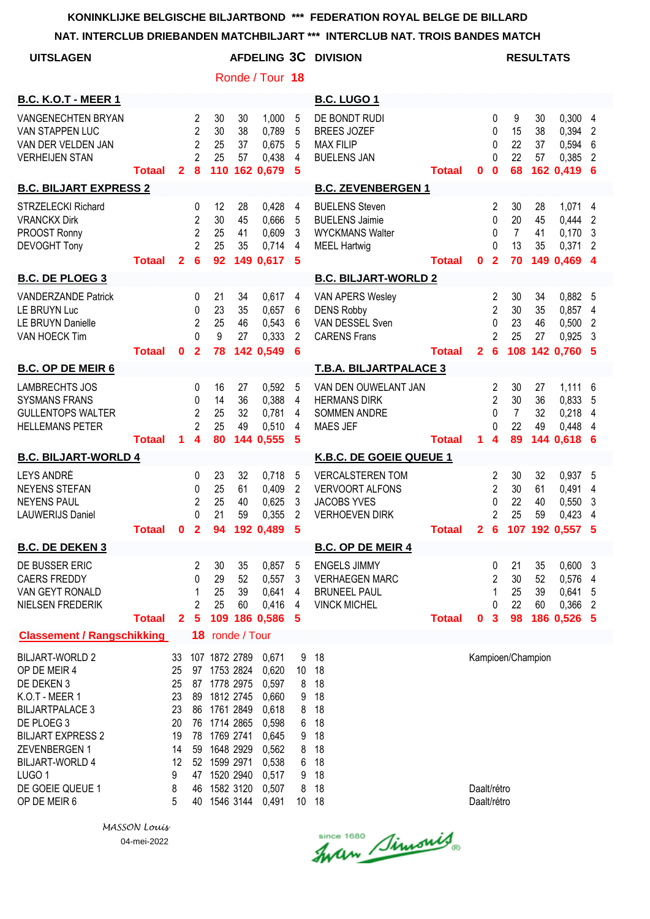**NAT. INTERCLUB DRIEBANDEN MATCHBILJART \*\*\* INTERCLUB NAT. TROIS BANDES MATCH**

| <b>UITSLAGEN</b>                                                                                                                                                                                                                                     |               |                                                                   |                                                                            |                                                                                                                                                                    |                      |                                                                                                          |                                                | <b>AFDELING 3C DIVISION</b>                                                                      |               |                            |                                                               |                                        | <b>RESULTATS</b>     |                                                       |                          |
|------------------------------------------------------------------------------------------------------------------------------------------------------------------------------------------------------------------------------------------------------|---------------|-------------------------------------------------------------------|----------------------------------------------------------------------------|--------------------------------------------------------------------------------------------------------------------------------------------------------------------|----------------------|----------------------------------------------------------------------------------------------------------|------------------------------------------------|--------------------------------------------------------------------------------------------------|---------------|----------------------------|---------------------------------------------------------------|----------------------------------------|----------------------|-------------------------------------------------------|--------------------------|
|                                                                                                                                                                                                                                                      |               |                                                                   |                                                                            |                                                                                                                                                                    |                      | Ronde / Tour 18                                                                                          |                                                |                                                                                                  |               |                            |                                                               |                                        |                      |                                                       |                          |
| <b>B.C. K.O.T - MEER 1</b>                                                                                                                                                                                                                           |               |                                                                   |                                                                            |                                                                                                                                                                    |                      |                                                                                                          |                                                | <b>B.C. LUGO 1</b>                                                                               |               |                            |                                                               |                                        |                      |                                                       |                          |
| <b>VANGENECHTEN BRYAN</b><br>VAN STAPPEN LUC<br>VAN DER VELDEN JAN<br><b>VERHEIJEN STAN</b>                                                                                                                                                          | Totaal        | $\overline{2}$                                                    | $\overline{2}$<br>$\overline{2}$<br>$\overline{2}$<br>$\overline{2}$<br>8  | 30<br>30<br>25<br>25<br>110                                                                                                                                        | 30<br>38<br>37<br>57 | 1,000<br>0,789<br>0,675<br>0,438<br>162 0,679                                                            | 5<br>5<br>5<br>$\overline{4}$<br>5             | DE BONDT RUDI<br><b>BREES JOZEF</b><br><b>MAX FILIP</b><br><b>BUELENS JAN</b>                    | <b>Totaal</b> | 0                          | 0<br>0<br>0<br>0<br>$\bf{0}$                                  | 9<br>15<br>22<br>22<br>68              | 30<br>38<br>37<br>57 | 0,300<br>0,394<br>0,594<br>0,385<br>162 0,419         | 4<br>2<br>6<br>2<br>6    |
| <b>B.C. BILJART EXPRESS 2</b>                                                                                                                                                                                                                        |               |                                                                   |                                                                            |                                                                                                                                                                    |                      |                                                                                                          |                                                | <b>B.C. ZEVENBERGEN 1</b>                                                                        |               |                            |                                                               |                                        |                      |                                                       |                          |
| <b>STRZELECKI Richard</b><br><b>VRANCKX Dirk</b><br>PROOST Ronny<br><b>DEVOGHT Tony</b>                                                                                                                                                              | <b>Totaal</b> | $\mathbf{2}$                                                      | 0<br>$\overline{c}$<br>$\overline{2}$<br>$\overline{2}$<br>$6\phantom{1}6$ | 12<br>30<br>25<br>25<br>92                                                                                                                                         | 28<br>45<br>41<br>35 | 0,428<br>0,666<br>0,609<br>0,714<br>149 0,617                                                            | 4<br>5<br>3<br>4<br>-5                         | <b>BUELENS Steven</b><br><b>BUELENS Jaimie</b><br><b>WYCKMANS Walter</b><br><b>MEEL Hartwig</b>  | <b>Totaal</b> | 0                          | 2<br>0<br>0<br>$\Omega$<br>$\overline{2}$                     | 30<br>20<br>$\overline{7}$<br>13<br>70 | 28<br>45<br>41<br>35 | 1,071<br>0,444<br>0,170<br>0,371<br>149 0,469 4       | 4<br>2<br>3<br>2         |
| <b>B.C. DE PLOEG 3</b>                                                                                                                                                                                                                               |               |                                                                   |                                                                            |                                                                                                                                                                    |                      |                                                                                                          |                                                | <b>B.C. BILJART-WORLD 2</b>                                                                      |               |                            |                                                               |                                        |                      |                                                       |                          |
| <b>VANDERZANDE Patrick</b><br>LE BRUYN Luc<br>LE BRUYN Danielle<br>VAN HOECK Tim                                                                                                                                                                     | <b>Totaal</b> | 0                                                                 | 0<br>0<br>$\overline{c}$<br>$\Omega$<br>$\mathbf{2}$                       | 21<br>23<br>25<br>9<br>78                                                                                                                                          | 34<br>35<br>46<br>27 | 0,617<br>0,657<br>0,543<br>0,333<br>142 0,549                                                            | 4<br>6<br>6<br>2<br>6                          | VAN APERS Wesley<br><b>DENS Robby</b><br>VAN DESSEL Sven<br><b>CARENS Frans</b>                  | <b>Totaal</b> | $\mathbf{2}$               | 2<br>$\overline{2}$<br>0<br>$\overline{c}$<br>$6\phantom{1}6$ | 30<br>30<br>23<br>25                   | 34<br>35<br>46<br>27 | 0,882 5<br>0,857<br>0,500<br>0,925<br>108 142 0.760 5 | 4<br>$\overline{2}$<br>3 |
| <b>B.C. OP DE MEIR 6</b>                                                                                                                                                                                                                             |               |                                                                   |                                                                            |                                                                                                                                                                    |                      |                                                                                                          |                                                | <b>T.B.A. BILJARTPALACE 3</b>                                                                    |               |                            |                                                               |                                        |                      |                                                       |                          |
| <b>LAMBRECHTS JOS</b><br><b>SYSMANS FRANS</b><br><b>GULLENTOPS WALTER</b><br><b>HELLEMANS PETER</b>                                                                                                                                                  | <b>Totaal</b> | 1.                                                                | 0<br>0<br>$\overline{c}$<br>$\overline{2}$<br>4                            | 16<br>14<br>25<br>25<br>80                                                                                                                                         | 27<br>36<br>32<br>49 | 0,592<br>0,388<br>0,781<br>0,510<br>144 0,555                                                            | 5<br>4<br>4<br>4<br>5                          | VAN DEN OUWELANT JAN<br><b>HERMANS DIRK</b><br><b>SOMMEN ANDRE</b><br><b>MAES JEF</b>            | <b>Totaal</b> | 1.                         | 2<br>$\overline{2}$<br>0<br>0<br>$\overline{\mathbf{4}}$      | 30<br>30<br>$\overline{7}$<br>22<br>89 | 27<br>36<br>32<br>49 | 1,111<br>0,833<br>0,218<br>0,448<br>144 0,618         | 6<br>5<br>4<br>4<br>6    |
| <b>B.C. BILJART-WORLD 4</b>                                                                                                                                                                                                                          |               |                                                                   |                                                                            |                                                                                                                                                                    |                      |                                                                                                          |                                                | K.B.C. DE GOEIE QUEUE 1                                                                          |               |                            |                                                               |                                        |                      |                                                       |                          |
| LEYS ANDRÉ<br><b>NEYENS STEFAN</b><br><b>NEYENS PAUL</b><br><b>LAUWERIJS Daniel</b>                                                                                                                                                                  | <b>Totaal</b> | 0                                                                 | 0<br>0<br>2<br>0<br>$\overline{2}$                                         | 23<br>25<br>25<br>21<br>94                                                                                                                                         | 32<br>61<br>40<br>59 | 0,718<br>0,409<br>0,625<br>0,355<br>192 0,489                                                            | 5<br>$\overline{2}$<br>3<br>2<br>5             | <b>VERCALSTEREN TOM</b><br><b>VERVOORT ALFONS</b><br><b>JACOBS YVES</b><br><b>VERHOEVEN DIRK</b> | <b>Totaal</b> | 2                          | 2<br>$\overline{2}$<br>0<br>2<br>6                            | 30<br>30<br>22<br>25                   | 32<br>61<br>40<br>59 | 0,937 5<br>0,491<br>0,550<br>0,423<br>107 192 0,557   | 4<br>3<br>4<br>5         |
| <b>B.C. DE DEKEN 3</b>                                                                                                                                                                                                                               |               |                                                                   |                                                                            |                                                                                                                                                                    |                      |                                                                                                          |                                                | <b>B.C. OP DE MEIR 4</b>                                                                         |               |                            |                                                               |                                        |                      |                                                       |                          |
| DE BUSSER ERIC<br><b>CAERS FREDDY</b><br>VAN GEYT RONALD<br>NIELSEN FREDERIK                                                                                                                                                                         | <b>Totaal</b> | $\mathbf{2}$                                                      | 2<br>0<br>1<br>2<br>$\overline{\mathbf{5}}$                                | 30<br>29<br>25<br>25                                                                                                                                               | 35<br>52<br>39<br>60 | 0,857<br>0,557<br>0,641<br>0,416<br>109 186 0,586                                                        | -5<br>3<br>4<br>4<br>-5                        | <b>ENGELS JIMMY</b><br><b>VERHAEGEN MARC</b><br><b>BRUNEEL PAUL</b><br><b>VINCK MICHEL</b>       | <b>Totaal</b> | $\mathbf 0$                | 0<br>2<br>1<br>0<br>$\overline{\mathbf{3}}$                   | 21<br>30<br>25<br>22<br>98             | 35<br>52<br>39<br>60 | 0,6003<br>0,576 4<br>0,641<br>0,366 2<br>186 0,526 5  | -5                       |
| <b>Classement / Rangschikking</b>                                                                                                                                                                                                                    |               |                                                                   |                                                                            | 18 ronde / Tour                                                                                                                                                    |                      |                                                                                                          |                                                |                                                                                                  |               |                            |                                                               |                                        |                      |                                                       |                          |
| <b>BILJART-WORLD 2</b><br>OP DE MEIR 4<br>DE DEKEN 3<br>K.O.T - MEER 1<br><b>BILJARTPALACE 3</b><br>DE PLOEG 3<br><b>BILJART EXPRESS 2</b><br><b>ZEVENBERGEN1</b><br><b>BILJART-WORLD 4</b><br>LUGO <sub>1</sub><br>DE GOEIE QUEUE 1<br>OP DE MEIR 6 |               | 33<br>25<br>25<br>23<br>23<br>20<br>19<br>14<br>12<br>9<br>8<br>5 | 89<br>86<br>76<br>78<br>59<br>52<br>47<br>46<br>40                         | 107 1872 2789<br>97 1753 2824<br>87 1778 2975<br>1812 2745<br>1761 2849<br>1714 2865<br>1769 2741<br>1648 2929<br>1599 2971<br>1520 2940<br>1582 3120<br>1546 3144 |                      | 0,671<br>0,620<br>0,597<br>0,660<br>0,618<br>0,598<br>0,645<br>0,562<br>0,538<br>0,517<br>0,507<br>0,491 | 9<br>8<br>9<br>8<br>6<br>9<br>8<br>6<br>9<br>8 | 18<br>10 18<br>18<br>18<br>18<br>18<br>18<br>18<br>18<br>18<br>18<br>10 18                       |               | Daalt/rétro<br>Daalt/rétro |                                                               | Kampioen/Champion                      |                      |                                                       |                          |

Since 1680 Simonis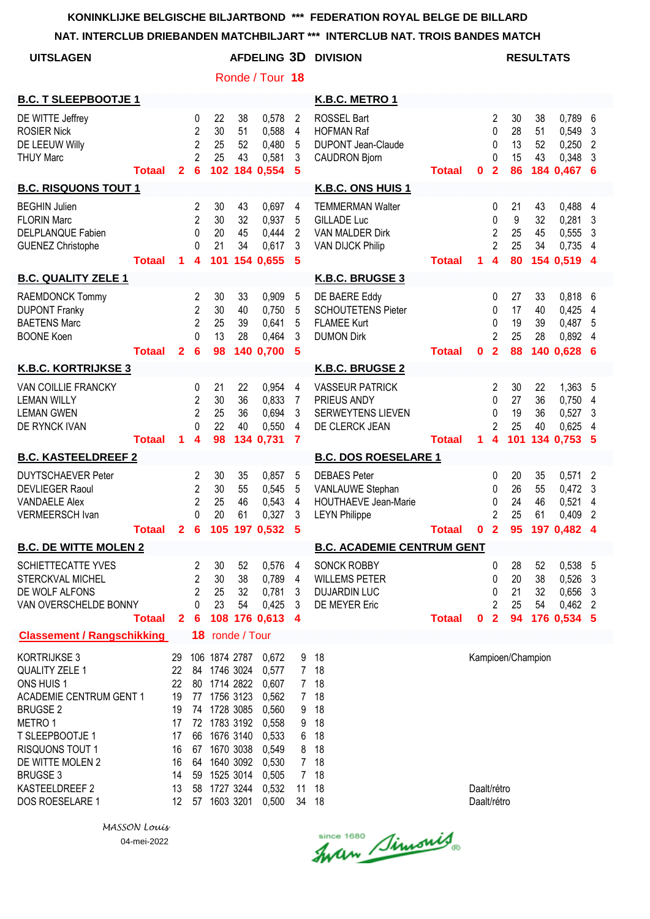**NAT. INTERCLUB DRIEBANDEN MATCHBILJART \*\*\* INTERCLUB NAT. TROIS BANDES MATCH**

| <b>UITSLAGEN</b>                                                                                                                                                                                                                      |                          |                                                                                   |                                                                            |                                                                                                                                                                            |                      | Ronde / Tour 18                                                                                          |                                                                                                      | <b>AFDELING 3D DIVISION</b>                                                                        |               |                            |                                                           |                             | <b>RESULTATS</b>     |                                                      |                               |
|---------------------------------------------------------------------------------------------------------------------------------------------------------------------------------------------------------------------------------------|--------------------------|-----------------------------------------------------------------------------------|----------------------------------------------------------------------------|----------------------------------------------------------------------------------------------------------------------------------------------------------------------------|----------------------|----------------------------------------------------------------------------------------------------------|------------------------------------------------------------------------------------------------------|----------------------------------------------------------------------------------------------------|---------------|----------------------------|-----------------------------------------------------------|-----------------------------|----------------------|------------------------------------------------------|-------------------------------|
| <b>B.C. T SLEEPBOOTJE 1</b>                                                                                                                                                                                                           |                          |                                                                                   |                                                                            |                                                                                                                                                                            |                      |                                                                                                          |                                                                                                      | K.B.C. METRO 1                                                                                     |               |                            |                                                           |                             |                      |                                                      |                               |
| DE WITTE Jeffrey<br><b>ROSIER Nick</b><br>DE LEEUW Willy<br><b>THUY Marc</b>                                                                                                                                                          | <b>Totaal</b>            | $\mathbf{2}$                                                                      | 0<br>$\overline{c}$<br>$\overline{c}$<br>$\overline{2}$<br>$6\phantom{1}6$ | 22<br>30<br>25<br>25                                                                                                                                                       | 38<br>51<br>52<br>43 | 0,578<br>0,588<br>0,480<br>0,581<br>102 184 0,554                                                        | 2<br>4<br>5<br>3<br>5                                                                                | ROSSEL Bart<br><b>HOFMAN Raf</b><br><b>DUPONT Jean-Claude</b><br><b>CAUDRON Bjorn</b>              | <b>Totaal</b> | $\mathbf 0$                | $\overline{2}$<br>0<br>$\mathbf 0$<br>0<br>$\overline{2}$ | 30<br>28<br>13<br>15<br>86  | 38<br>51<br>52<br>43 | 0,789<br>0,549<br>0,250<br>0,348<br>184 0,467 6      | 6<br>3<br>$\overline{c}$<br>3 |
| <b>B.C. RISQUONS TOUT 1</b>                                                                                                                                                                                                           |                          |                                                                                   |                                                                            |                                                                                                                                                                            |                      |                                                                                                          |                                                                                                      | K.B.C. ONS HUIS 1                                                                                  |               |                            |                                                           |                             |                      |                                                      |                               |
| <b>BEGHIN Julien</b><br><b>FLORIN Marc</b><br><b>DELPLANQUE Fabien</b><br><b>GUENEZ Christophe</b>                                                                                                                                    | <b>Totaal</b>            | $\blacktriangleleft$                                                              | 2<br>2<br>0<br>0<br>$\overline{\mathbf{4}}$                                | 30<br>30<br>20<br>21<br>101                                                                                                                                                | 43<br>32<br>45<br>34 | 0,697<br>0,937<br>0,444<br>0,617<br>154 0,655                                                            | 4<br>5<br>2<br>3<br>5                                                                                | <b>TEMMERMAN Walter</b><br><b>GILLADE Luc</b><br><b>VAN MALDER Dirk</b><br><b>VAN DIJCK Philip</b> | <b>Totaal</b> | 1.                         | 0<br>0<br>$\overline{2}$<br>$\overline{2}$<br>4           | 21<br>9<br>25<br>25<br>80   | 43<br>32<br>45<br>34 | 0,488<br>0,281<br>0,555<br>0,735<br>154 0,519 4      | 4<br>3<br>3<br>4              |
| <b>B.C. QUALITY ZELE 1</b>                                                                                                                                                                                                            |                          |                                                                                   |                                                                            |                                                                                                                                                                            |                      |                                                                                                          |                                                                                                      | K.B.C. BRUGSE 3                                                                                    |               |                            |                                                           |                             |                      |                                                      |                               |
| RAEMDONCK Tommy<br><b>DUPONT Franky</b><br><b>BAETENS Marc</b><br><b>BOONE Koen</b>                                                                                                                                                   | <b>Totaal</b>            | $\overline{2}$                                                                    | 2<br>2<br>2<br>$\Omega$<br>$6\phantom{1}6$                                 | 30<br>30<br>25<br>13<br>98                                                                                                                                                 | 33<br>40<br>39<br>28 | 0,909<br>0,750<br>0,641<br>0,464<br>140 0,700                                                            | 5<br>5<br>5<br>3<br>5                                                                                | DE BAERE Eddy<br><b>SCHOUTETENS Pieter</b><br><b>FLAMEE Kurt</b><br><b>DUMON Dirk</b>              | <b>Totaal</b> | $\mathbf 0$                | 0<br>0<br>0<br>$\overline{2}$<br>$\overline{2}$           | 27<br>17<br>19<br>25<br>88  | 33<br>40<br>39<br>28 | 0,818<br>0,425<br>0,487<br>0,892<br>140 0,628 6      | 6<br>4<br>5<br>4              |
| <b>K.B.C. KORTRIJKSE 3</b>                                                                                                                                                                                                            |                          |                                                                                   |                                                                            |                                                                                                                                                                            |                      |                                                                                                          |                                                                                                      | K.B.C. BRUGSE 2                                                                                    |               |                            |                                                           |                             |                      |                                                      |                               |
| VAN COILLIE FRANCKY<br><b>LEMAN WILLY</b><br><b>LEMAN GWEN</b><br>DE RYNCK IVAN                                                                                                                                                       | <b>Totaal</b>            | 1                                                                                 | 0<br>$\overline{2}$<br>$\overline{2}$<br>0<br>4                            | 21<br>30<br>25<br>22<br>98                                                                                                                                                 | 22<br>36<br>36<br>40 | 0,954<br>0,833<br>0,694<br>0,550<br>134 0,731                                                            | 4<br>7<br>3<br>4<br>7                                                                                | <b>VASSEUR PATRICK</b><br>PRIEUS ANDY<br><b>SERWEYTENS LIEVEN</b><br>DE CLERCK JEAN                | <b>Totaal</b> | $\mathbf{1}$               | $\overline{c}$<br>0<br>0<br>$\overline{2}$<br>4           | 30<br>27<br>19<br>25<br>101 | 22<br>36<br>36<br>40 | 1,363<br>0,750<br>0,527<br>0,625<br>134 0,753 5      | 5<br>4<br>3<br>4              |
| <b>B.C. KASTEELDREEF 2</b>                                                                                                                                                                                                            |                          |                                                                                   |                                                                            |                                                                                                                                                                            |                      |                                                                                                          |                                                                                                      | <b>B.C. DOS ROESELARE 1</b>                                                                        |               |                            |                                                           |                             |                      |                                                      |                               |
| <b>DUYTSCHAEVER Peter</b><br><b>DEVLIEGER Raoul</b><br><b>VANDAELE Alex</b><br><b>VERMEERSCH Ivan</b>                                                                                                                                 | Totaal 2 6 105 197 0,532 |                                                                                   | 2<br>$\overline{2}$<br>$\overline{2}$<br>0                                 | 30<br>30<br>25<br>20                                                                                                                                                       | 35<br>55<br>46<br>61 | 0,857<br>0,545<br>0,543<br>0,327                                                                         | 5<br>5<br>4<br>3<br>5                                                                                | <b>DEBAES Peter</b><br>VANLAUWE Stephan<br>HOUTHAEVE Jean-Marie<br><b>LEYN Philippe</b>            | <b>Totaal</b> |                            | 0<br>0<br>0<br>$\overline{2}$                             | 20<br>26<br>24<br>25        | 35<br>55<br>46<br>61 | 0,571<br>0,472<br>0,521<br>0,409<br>0 2 95 197 0,482 | 2<br>3<br>4<br>2<br>4         |
| <b>B.C. DE WITTE MOLEN 2</b>                                                                                                                                                                                                          |                          |                                                                                   |                                                                            |                                                                                                                                                                            |                      |                                                                                                          |                                                                                                      | <b>B.C. ACADEMIE CENTRUM GENT</b>                                                                  |               |                            |                                                           |                             |                      |                                                      |                               |
| SCHIETTECATTE YVES<br>STERCKVAL MICHEL<br>DE WOLF ALFONS<br>VAN OVERSCHELDE BONNY                                                                                                                                                     | <b>Totaal</b>            | $\mathbf{2}$                                                                      | 2<br>2<br>$\overline{2}$<br>0<br>6                                         | 30<br>30<br>25<br>23                                                                                                                                                       | 52<br>38<br>32<br>54 | 0,576<br>0,789<br>0,781<br>0,425<br>108 176 0,613                                                        | 4<br>4<br>3<br>3<br>4                                                                                | <b>SONCK ROBBY</b><br><b>WILLEMS PETER</b><br><b>DUJARDIN LUC</b><br>DE MEYER Eric                 | <b>Totaal</b> | 0                          | 0<br>0<br>0<br>2<br>$\overline{\mathbf{2}}$               | 28<br>20<br>21<br>25<br>94  | 52<br>38<br>32<br>54 | 0,538<br>0,526<br>0,656<br>$0,462$ 2<br>176 0,534 5  | 5<br>3<br>3                   |
| <b>Classement / Rangschikking</b>                                                                                                                                                                                                     |                          |                                                                                   |                                                                            | 18 ronde / Tour                                                                                                                                                            |                      |                                                                                                          |                                                                                                      |                                                                                                    |               |                            |                                                           |                             |                      |                                                      |                               |
| KORTRIJKSE 3<br>QUALITY ZELE 1<br>ONS HUIS 1<br><b>ACADEMIE CENTRUM GENT 1</b><br><b>BRUGSE 2</b><br>METRO 1<br>T SLEEPBOOTJE 1<br><b>RISQUONS TOUT 1</b><br>DE WITTE MOLEN 2<br><b>BRUGSE 3</b><br>KASTEELDREEF 2<br>DOS ROESELARE 1 |                          | 29<br>22<br>22<br>19<br>19<br>17<br>17<br>16<br>16<br>14<br>13<br>12 <sup>°</sup> | 64<br>59                                                                   | 106 1874 2787<br>84 1746 3024<br>80 1714 2822<br>77 1756 3123<br>74 1728 3085<br>72 1783 3192<br>66 1676 3140<br>67 1670 3038<br>1525 3014<br>58 1727 3244<br>57 1603 3201 | 1640 3092            | 0,672<br>0,577<br>0,607<br>0,562<br>0,560<br>0,558<br>0,533<br>0,549<br>0,530<br>0,505<br>0,532<br>0,500 | 9<br>7 <sup>7</sup><br>7 <sup>7</sup><br>7 <sup>7</sup><br>9<br>9<br>6<br>8<br>$7\overline{ }$<br>11 | 18<br>18<br>18<br>18<br>18<br>18<br>18<br>18<br>18<br>7 18<br>18<br>34 18                          |               | Daalt/rétro<br>Daalt/rétro |                                                           | Kampioen/Champion           |                      |                                                      |                               |

Since 1680 Simonis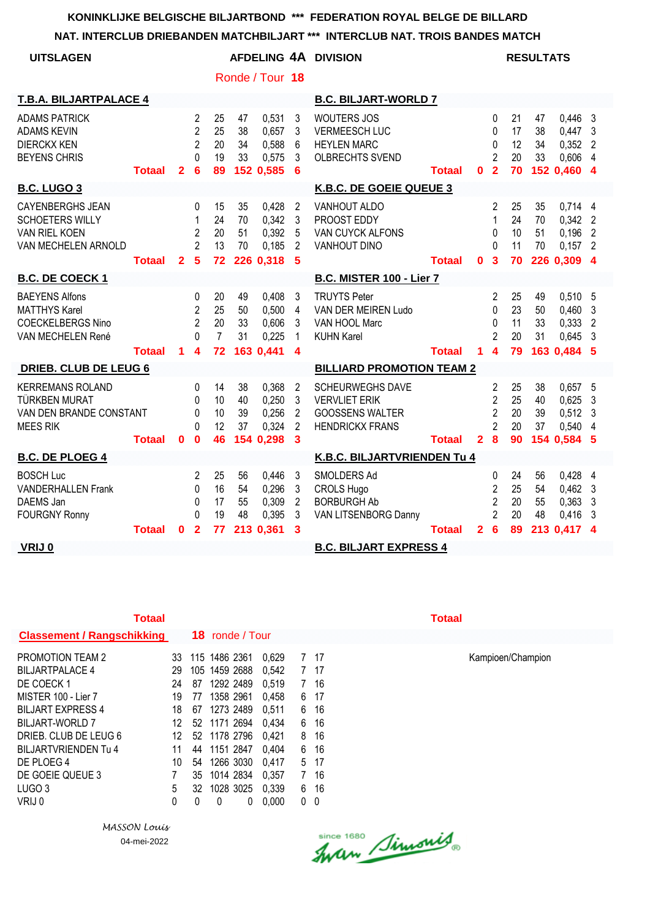**NAT. INTERCLUB DRIEBANDEN MATCHBILJART \*\*\* INTERCLUB NAT. TROIS BANDES MATCH**

| <b>UITSLAGEN</b>                                                                                 |               |                |                                                                  |                                  |                      |                                               |                                                              | AFDELING 4A DIVISION                                                                                |               |                |                                                                                       |                            | <b>RESULTATS</b>     |                                                         |                                      |
|--------------------------------------------------------------------------------------------------|---------------|----------------|------------------------------------------------------------------|----------------------------------|----------------------|-----------------------------------------------|--------------------------------------------------------------|-----------------------------------------------------------------------------------------------------|---------------|----------------|---------------------------------------------------------------------------------------|----------------------------|----------------------|---------------------------------------------------------|--------------------------------------|
|                                                                                                  |               |                |                                                                  |                                  |                      | Ronde / Tour 18                               |                                                              |                                                                                                     |               |                |                                                                                       |                            |                      |                                                         |                                      |
| T.B.A. BILJARTPALACE 4                                                                           |               |                |                                                                  |                                  |                      |                                               |                                                              | <b>B.C. BILJART-WORLD 7</b>                                                                         |               |                |                                                                                       |                            |                      |                                                         |                                      |
| <b>ADAMS PATRICK</b><br><b>ADAMS KEVIN</b><br><b>DIERCKX KEN</b><br><b>BEYENS CHRIS</b>          | <b>Totaal</b> | $\mathbf{2}$   | $\overline{2}$<br>$\overline{2}$<br>2<br>$\Omega$<br>6           | 25<br>25<br>20<br>19<br>89       | 47<br>38<br>34<br>33 | 0,531<br>0,657<br>0,588<br>0,575<br>152 0,585 | 3<br>3<br>6<br>3<br>$6\phantom{1}6$                          | <b>WOUTERS JOS</b><br><b>VERMEESCH LUC</b><br><b>HEYLEN MARC</b><br><b>OLBRECHTS SVEND</b>          | <b>Totaal</b> | $\bf{0}$       | $\mathbf{0}$<br>0<br>$\mathbf{0}$<br>$\overline{2}$<br>$\overline{2}$                 | 21<br>17<br>12<br>20<br>70 | 47<br>38<br>34<br>33 | 0,446<br>$0,447$ 3<br>$0,352$ 2<br>0,606<br>152 0,460   | - 3<br>-4<br>$\overline{\mathbf{4}}$ |
| <b>B.C. LUGO 3</b>                                                                               |               |                |                                                                  |                                  |                      |                                               |                                                              | K.B.C. DE GOEIE QUEUE 3                                                                             |               |                |                                                                                       |                            |                      |                                                         |                                      |
| <b>CAYENBERGHS JEAN</b><br><b>SCHOETERS WILLY</b><br><b>VAN RIEL KOEN</b><br>VAN MECHELEN ARNOLD |               |                | $\Omega$<br>1<br>$\overline{2}$<br>$\overline{2}$                | 15<br>24<br>20<br>13             | 35<br>70<br>51<br>70 | 0,428<br>0,342<br>0,392<br>0,185              | $\overline{2}$<br>3<br>5<br>$\overline{2}$                   | VANHOUT ALDO<br>PROOST EDDY<br>VAN CUYCK ALFONS<br>VANHOUT DINO                                     |               |                | $\overline{2}$<br>$\mathbf{1}$<br>$\Omega$<br>$\Omega$                                | 25<br>24<br>10<br>11       | 35<br>70<br>51<br>70 | $0,714$ 4<br>$0,342$ 2<br>0,196<br>$0,157$ 2            | $\overline{2}$                       |
|                                                                                                  | <b>Totaal</b> | $\overline{2}$ | $\overline{\mathbf{5}}$                                          | 72                               |                      | 226 0,318                                     | -5                                                           |                                                                                                     | <b>Totaal</b> | $\mathbf{0}$   | $\overline{\mathbf{3}}$                                                               | 70                         |                      | 226 0,309                                               | $\boldsymbol{A}$                     |
| <b>B.C. DE COECK1</b>                                                                            |               |                |                                                                  |                                  |                      |                                               |                                                              | <b>B.C. MISTER 100 - Lier 7</b>                                                                     |               |                |                                                                                       |                            |                      |                                                         |                                      |
| <b>BAEYENS Alfons</b><br><b>MATTHYS Karel</b><br><b>COECKELBERGS Nino</b><br>VAN MECHELEN René   |               |                | 0<br>$\overline{2}$<br>$\overline{2}$<br>$\Omega$                | 20<br>25<br>20<br>$\overline{7}$ | 49<br>50<br>33<br>31 | 0,408<br>0,500<br>0,606<br>0,225              | 3<br>4<br>3<br>$\mathbf{1}$                                  | <b>TRUYTS Peter</b><br>VAN DER MEIREN Ludo<br>VAN HOOL Marc<br><b>KUHN Karel</b>                    |               |                | 2<br>$\Omega$<br>$\mathbf{0}$<br>$\overline{2}$                                       | 25<br>23<br>11<br>20       | 49<br>50<br>33<br>31 | $0,510$ 5<br>0,460<br>0,333<br>0,645                    | $\mathbf{3}$<br>$\overline{2}$<br>-3 |
|                                                                                                  | <b>Totaal</b> | 1              | 4                                                                | 72                               |                      | 163 0,441                                     | 4                                                            |                                                                                                     | <b>Totaal</b> | 1              | $\overline{4}$                                                                        | 79                         |                      | 163 0,484 5                                             |                                      |
| <b>DRIEB. CLUB DE LEUG 6</b>                                                                     |               |                |                                                                  |                                  |                      |                                               |                                                              | <b>BILLIARD PROMOTION TEAM 2</b>                                                                    |               |                |                                                                                       |                            |                      |                                                         |                                      |
| <b>KERREMANS ROLAND</b><br><b>TÜRKBEN MURAT</b><br>VAN DEN BRANDE CONSTANT<br><b>MEES RIK</b>    | <b>Totaal</b> | $\bf{0}$       | $\mathbf{0}$<br>$\Omega$<br>$\mathbf{0}$<br>$\Omega$<br>$\bf{0}$ | 14<br>10<br>10<br>12<br>46       | 38<br>40<br>39<br>37 | 0,368<br>0,250<br>0,256<br>0,324<br>154 0,298 | $\overline{2}$<br>3<br>$\overline{2}$<br>$\overline{2}$<br>3 | <b>SCHEURWEGHS DAVE</b><br><b>VERVLIET ERIK</b><br><b>GOOSSENS WALTER</b><br><b>HENDRICKX FRANS</b> | <b>Totaal</b> | $\overline{2}$ | $\overline{2}$<br>$\overline{2}$<br>$\overline{2}$<br>$\overline{2}$<br>$\bf{8}$      | 25<br>25<br>20<br>20<br>90 | 38<br>40<br>39<br>37 | $0,657$ 5<br>0.625<br>$0,512$ 3<br>0,540<br>154 0,584 5 | -3<br>-4                             |
| <b>B.C. DE PLOEG 4</b>                                                                           |               |                |                                                                  |                                  |                      |                                               |                                                              | K.B.C. BILJARTVRIENDEN Tu 4                                                                         |               |                |                                                                                       |                            |                      |                                                         |                                      |
| <b>BOSCH Luc</b><br><b>VANDERHALLEN Frank</b><br>DAEMS Jan<br><b>FOURGNY Ronny</b>               | <b>Totaal</b> | $\mathbf{0}$   | 2<br>0<br>$\Omega$<br>$\Omega$<br>$\overline{2}$                 | 25<br>16<br>17<br>19<br>77       | 56<br>54<br>55<br>48 | 0,446<br>0,296<br>0,309<br>0,395<br>213 0,361 | 3<br>3<br>$\overline{2}$<br>3<br>3                           | SMOLDERS Ad<br><b>CROLS Hugo</b><br><b>BORBURGH Ab</b><br>VAN LITSENBORG Danny                      | <b>Totaal</b> | $\mathbf{2}$   | $\mathbf{0}$<br>$\overline{2}$<br>$\overline{2}$<br>$\overline{2}$<br>$6\phantom{1}6$ | 24<br>25<br>20<br>20<br>89 | 56<br>54<br>55<br>48 | 0,428<br>$0,462$ 3<br>0,363<br>0,416<br>213 0,417       | -4<br>- 3<br>- 3<br>$\boldsymbol{4}$ |
| VRIJ 0                                                                                           |               |                |                                                                  |                                  |                      |                                               |                                                              | <b>B.C. BILJART EXPRESS 4</b>                                                                       |               |                |                                                                                       |                            |                      |                                                         |                                      |

| <b>Totaal</b>                     |    |    |                        |       |   |      | Totaal |
|-----------------------------------|----|----|------------------------|-------|---|------|--------|
| <b>Classement / Rangschikking</b> |    |    | <b>18</b> ronde / Tour |       |   |      |        |
| <b>PROMOTION TEAM 2</b>           | 33 |    | 115 1486 2361          | 0.629 | 7 | -17  |        |
| <b>BILJARTPALACE 4</b>            | 29 |    | 105 1459 2688          | 0.542 |   | 7 17 |        |
| DE COECK 1                        | 24 | 87 | 1292 2489              | 0,519 | 7 | -16  |        |
| MISTER 100 - Lier 7               | 19 | 77 | 1358 2961              | 0,458 | 6 | -17  |        |
| <b>BILJART EXPRESS 4</b>          | 18 | 67 | 1273 2489              | 0.511 | 6 | -16  |        |
| BILJART-WORLD 7                   | 12 |    | 52 1171 2694           | 0.434 | 6 | 16   |        |
| DRIEB. CLUB DE LEUG 6             | 12 |    | 52 1178 2796           | 0.421 | 8 | -16  |        |
| BILJARTVRIENDEN Tu 4              | 11 | 44 | 1151 2847              | 0.404 | 6 | 16   |        |
| DE PLOEG 4                        | 10 | 54 | 1266 3030              | 0.417 | 5 | -17  |        |
| DE GOEIE QUEUE 3                  |    |    | 35 1014 2834           | 0.357 | 7 | 16   |        |
| LUGO <sub>3</sub>                 | 5  | 32 | 1028 3025              | 0.339 | 6 | 16   |        |
| VRIJ 0                            | 0  | 0  | 0<br>0                 | 0.000 | 0 | 0    |        |

*MASSON Louis* 04-mei-2022

Since 1680 Simonis

Kampioen/Champion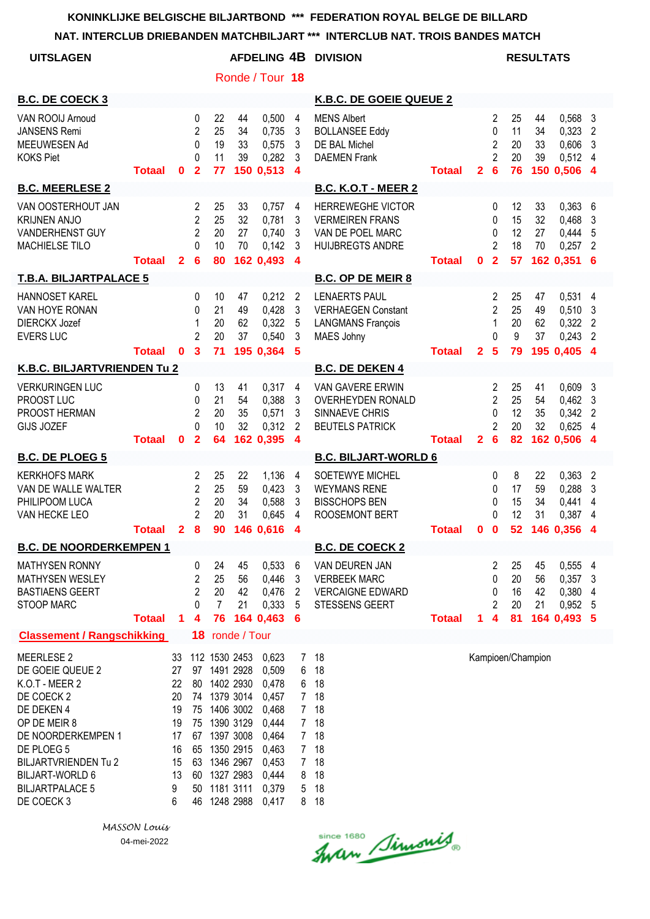|                                                                                                                                                                                                                                   |               |                                                              |                                                                            |                                        |                                                                                                                                                                       |                                                                                                          |                                                                                                                        | NAT. INTERCLUB DRIEBANDEN MATCHBILJART *** INTERCLUB NAT. TROIS BANDES MATCH                      |               |                |                                                                     |                            |                      |                                                                 |                                       |
|-----------------------------------------------------------------------------------------------------------------------------------------------------------------------------------------------------------------------------------|---------------|--------------------------------------------------------------|----------------------------------------------------------------------------|----------------------------------------|-----------------------------------------------------------------------------------------------------------------------------------------------------------------------|----------------------------------------------------------------------------------------------------------|------------------------------------------------------------------------------------------------------------------------|---------------------------------------------------------------------------------------------------|---------------|----------------|---------------------------------------------------------------------|----------------------------|----------------------|-----------------------------------------------------------------|---------------------------------------|
| <b>UITSLAGEN</b>                                                                                                                                                                                                                  |               |                                                              |                                                                            |                                        |                                                                                                                                                                       |                                                                                                          |                                                                                                                        | AFDELING 4B DIVISION                                                                              |               |                |                                                                     |                            | <b>RESULTATS</b>     |                                                                 |                                       |
|                                                                                                                                                                                                                                   |               |                                                              |                                                                            |                                        |                                                                                                                                                                       | Ronde / Tour 18                                                                                          |                                                                                                                        |                                                                                                   |               |                |                                                                     |                            |                      |                                                                 |                                       |
| <b>B.C. DE COECK 3</b>                                                                                                                                                                                                            |               |                                                              |                                                                            |                                        |                                                                                                                                                                       |                                                                                                          |                                                                                                                        | K.B.C. DE GOEIE QUEUE 2                                                                           |               |                |                                                                     |                            |                      |                                                                 |                                       |
| VAN ROOIJ Arnoud<br><b>JANSENS Remi</b><br>MEEUWESEN Ad<br><b>KOKS Piet</b>                                                                                                                                                       | <b>Totaal</b> | 0                                                            | 0<br>$\overline{2}$<br>$\mathbf{0}$<br>$\mathbf{0}$<br>$\overline{2}$      | 22<br>25<br>19<br>11<br>77             | 44<br>34<br>33<br>39                                                                                                                                                  | 0,500<br>0,735<br>0,575<br>0,282<br>150 0,513                                                            | $\overline{4}$<br>3<br>$\mathbf{3}$<br>3<br>$\overline{4}$                                                             | <b>MENS Albert</b><br><b>BOLLANSEE Eddy</b><br>DE BAL Michel<br><b>DAEMEN</b> Frank               | <b>Totaal</b> | $\overline{2}$ | 2<br>0<br>2<br>$\overline{2}$<br>6                                  | 25<br>11<br>20<br>20<br>76 | 44<br>34<br>33<br>39 | 0,568 3<br>0,323<br>0,606<br>0,512 4<br>150 0,506 4             | $\overline{2}$<br>$\mathbf{3}$        |
| <b>B.C. MEERLESE 2</b>                                                                                                                                                                                                            |               |                                                              |                                                                            |                                        |                                                                                                                                                                       |                                                                                                          |                                                                                                                        | <b>B.C. K.O.T - MEER 2</b>                                                                        |               |                |                                                                     |                            |                      |                                                                 |                                       |
| VAN OOSTERHOUT JAN<br><b>KRIJNEN ANJO</b><br>VANDERHENST GUY<br>MACHIELSE TILO                                                                                                                                                    | <b>Totaal</b> | $\mathbf{2}$                                                 | 2<br>$\overline{2}$<br>$\overline{2}$<br>$\Omega$<br>$6\phantom{1}6$       | 25<br>25<br>20<br>10<br>80             | 33<br>32<br>27<br>70                                                                                                                                                  | 0,757<br>0,781<br>0,740<br>0.142<br>162 0,493                                                            | 4<br>3<br>3<br>3<br>$\overline{\mathbf{4}}$                                                                            | <b>HERREWEGHE VICTOR</b><br><b>VERMEIREN FRANS</b><br>VAN DE POEL MARC<br><b>HUIJBREGTS ANDRE</b> | <b>Totaal</b> | $\mathbf 0$    | 0<br>0<br>$\mathbf{0}$<br>$\overline{2}$<br>$\overline{\mathbf{2}}$ | 12<br>15<br>12<br>18<br>57 | 33<br>32<br>27<br>70 | $0,363$ 6<br>$0,468$ 3<br>0,444<br>0,257<br>162 0,351 6         | 5<br>$\overline{2}$                   |
| <b>T.B.A. BILJARTPALACE 5</b>                                                                                                                                                                                                     |               |                                                              |                                                                            |                                        |                                                                                                                                                                       |                                                                                                          |                                                                                                                        | <b>B.C. OP DE MEIR 8</b>                                                                          |               |                |                                                                     |                            |                      |                                                                 |                                       |
| HANNOSET KAREL<br>VAN HOYE RONAN<br><b>DIERCKX Jozef</b><br><b>EVERS LUC</b>                                                                                                                                                      | <b>Totaal</b> | $\mathbf{0}$                                                 | $\mathbf{0}$<br>0<br>1<br>$\overline{2}$<br>$\mathbf{3}$                   | 10<br>21<br>20<br>20<br>71             | 47<br>49<br>62<br>37                                                                                                                                                  | 0,212<br>0,428<br>0,322<br>0,540<br>195 0,364 5                                                          | $\overline{2}$<br>3<br>$\overline{5}$<br>3                                                                             | <b>LENAERTS PAUL</b><br><b>VERHAEGEN Constant</b><br><b>LANGMANS François</b><br>MAES Johny       | <b>Totaal</b> | $\overline{2}$ | 2<br>$\overline{2}$<br>1<br>$\Omega$<br>$5\phantom{1}$              | 25<br>25<br>20<br>9<br>79  | 47<br>49<br>62<br>37 | $0,531$ 4<br>$0,510$ 3<br>$0,322$ 2<br>$0,243$ 2<br>195 0,405 4 |                                       |
| K.B.C. BILJARTVRIENDEN Tu 2                                                                                                                                                                                                       |               |                                                              |                                                                            |                                        |                                                                                                                                                                       |                                                                                                          |                                                                                                                        | <b>B.C. DE DEKEN 4</b>                                                                            |               |                |                                                                     |                            |                      |                                                                 |                                       |
| <b>VERKURINGEN LUC</b><br>PROOST LUC<br>PROOST HERMAN<br>GIJS JOZEF                                                                                                                                                               | <b>Totaal</b> | 0                                                            | 0<br>$\mathbf{0}$<br>$\overline{2}$<br>$\Omega$<br>$\overline{\mathbf{2}}$ | 13<br>21<br>20<br>10<br>64             | 41<br>54<br>35<br>32                                                                                                                                                  | 0,317<br>0,388<br>0,571<br>0,312<br>162 0,395                                                            | $\overline{4}$<br>$\mathbf{3}$<br>3<br>2<br>$\overline{4}$                                                             | VAN GAVERE ERWIN<br><b>OVERHEYDEN RONALD</b><br>SINNAEVE CHRIS<br><b>BEUTELS PATRICK</b>          | <b>Totaal</b> | $\overline{2}$ | 2<br>$\overline{2}$<br>$\mathbf{0}$<br>2<br>$6\phantom{1}6$         | 25<br>25<br>12<br>20<br>82 | 41<br>54<br>35<br>32 | 0,609<br>$0,462$ 3<br>0,342<br>0,625<br>162 0,506 4             | 3<br>$\overline{2}$<br>$\overline{4}$ |
| <b>B.C. DE PLOEG 5</b>                                                                                                                                                                                                            |               |                                                              |                                                                            |                                        |                                                                                                                                                                       |                                                                                                          |                                                                                                                        | <b>B.C. BILJART-WORLD 6</b>                                                                       |               |                |                                                                     |                            |                      |                                                                 |                                       |
| <b>KERKHOFS MARK</b><br>VAN DE WALLE WALTER<br>PHILIPOOM LUCA<br>VAN HECKE LEO                                                                                                                                                    | <b>Totaal</b> |                                                              | 2<br>$\overline{c}$<br>$\overline{2}$<br>$\overline{2}$<br>28              | 25<br>25<br>20<br>20                   | 22<br>59<br>34<br>31                                                                                                                                                  | 1,136<br>0,423<br>0,588<br>0,645<br>90 146 0,616 4                                                       | $\overline{4}$<br>$\mathbf{3}$<br>3<br>4                                                                               | SOETEWYE MICHEL<br><b>WEYMANS RENE</b><br><b>BISSCHOPS BEN</b><br><b>ROOSEMONT BERT</b>           | <b>Totaal</b> | $\mathbf 0$    | 0<br>0<br>0<br>0<br>$\mathbf 0$                                     | 8<br>17<br>15<br>12        | 22<br>59<br>34<br>31 | $0,363$ 2<br>0,288<br>0,441<br>0,387 4<br>52 146 0,356 4        | $\overline{3}$<br>4                   |
| <b>B.C. DE NOORDERKEMPEN 1</b>                                                                                                                                                                                                    |               |                                                              |                                                                            |                                        |                                                                                                                                                                       |                                                                                                          |                                                                                                                        | <b>B.C. DE COECK 2</b>                                                                            |               |                |                                                                     |                            |                      |                                                                 |                                       |
| <b>MATHYSEN RONNY</b><br><b>MATHYSEN WESLEY</b><br><b>BASTIAENS GEERT</b><br>STOOP MARC                                                                                                                                           | <b>Totaal</b> | $\mathbf{1}$                                                 | 0<br>2<br>2<br>0<br>$\overline{\mathbf{4}}$                                | 24<br>25<br>20<br>$\overline{7}$<br>76 | 45<br>56<br>42<br>21                                                                                                                                                  | 0,533<br>0,446<br>0,476<br>0,333<br>164 0,463                                                            | 6<br>3<br>2<br>5<br>6                                                                                                  | VAN DEUREN JAN<br><b>VERBEEK MARC</b><br><b>VERCAIGNE EDWARD</b><br><b>STESSENS GEERT</b>         | <b>Totaal</b> | 1.             | 2<br>0<br>0<br>$\overline{2}$<br>4                                  | 25<br>20<br>16<br>20<br>81 | 45<br>56<br>42<br>21 | 0,555 4<br>$0,357$ 3<br>0,380 4<br>0,952,5<br>164 0,493 5       |                                       |
| <b>Classement / Rangschikking</b>                                                                                                                                                                                                 |               |                                                              |                                                                            |                                        | 18 ronde / Tour                                                                                                                                                       |                                                                                                          |                                                                                                                        |                                                                                                   |               |                |                                                                     |                            |                      |                                                                 |                                       |
| MEERLESE 2<br>DE GOEIE QUEUE 2<br>K.O.T - MEER 2<br>DE COECK 2<br>DE DEKEN 4<br>OP DE MEIR 8<br>DE NOORDERKEMPEN 1<br>DE PLOEG 5<br><b>BILJARTVRIENDEN Tu 2</b><br><b>BILJART-WORLD 6</b><br><b>BILJARTPALACE 5</b><br>DE COECK 3 |               | 27<br>22<br>20<br>19<br>19<br>17<br>16<br>15<br>13<br>9<br>6 | 80<br>75<br>75<br>67<br>65<br>63<br>60<br>50<br>46                         |                                        | 33 112 1530 2453<br>97 1491 2928<br>1402 2930<br>74 1379 3014<br>1406 3002<br>1390 3129<br>1397 3008<br>1350 2915<br>1346 2967<br>1327 2983<br>1181 3111<br>1248 2988 | 0,623<br>0,509<br>0,478<br>0,457<br>0,468<br>0,444<br>0,464<br>0,463<br>0,453<br>0,444<br>0,379<br>0,417 | 7<br>6<br>6<br>7 <sup>1</sup><br>$7^{\circ}$<br>7 <sup>1</sup><br>7 <sup>1</sup><br>$7\phantom{.}$<br>7<br>8<br>5<br>8 | 18<br>18<br>18<br>18<br>18<br>18<br>18<br>18<br>18<br>18<br>18<br>18                              |               |                |                                                                     |                            | Kampioen/Champion    |                                                                 |                                       |

Since 1680 Simonis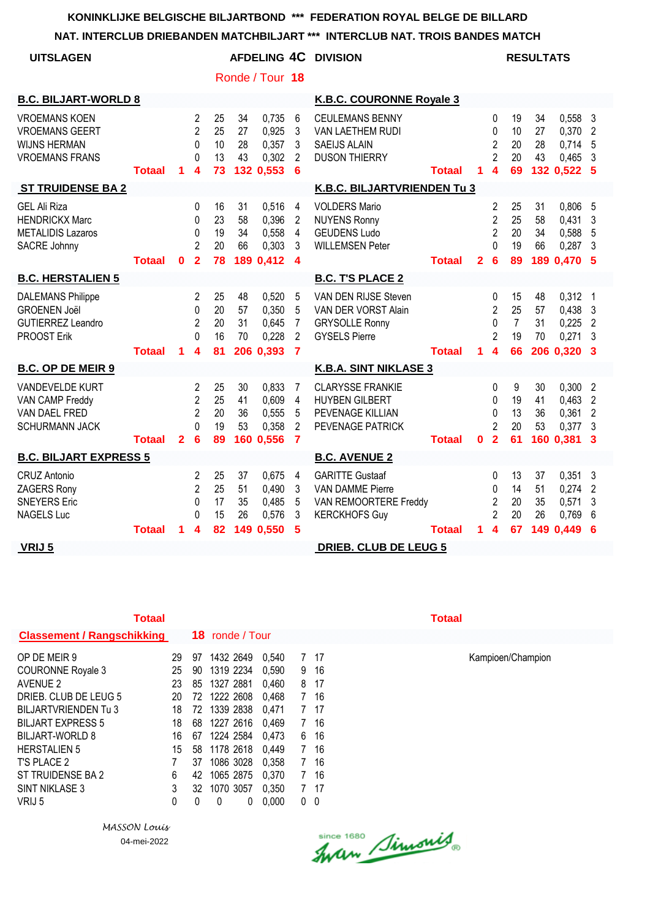## **NAT. INTERCLUB DRIEBANDEN MATCHBILJART \*\*\* INTERCLUB NAT. TROIS BANDES MATCH**

| <b>UITSLAGEN</b>                                                                              |               |                |                                                                       |                            |                      | Ronde / Tour 18                               |                                                                | AFDELING 4C DIVISION                                                                               |               |              |                                                                |                                        | <b>RESULTATS</b>            |                                                 |                                                                                  |
|-----------------------------------------------------------------------------------------------|---------------|----------------|-----------------------------------------------------------------------|----------------------------|----------------------|-----------------------------------------------|----------------------------------------------------------------|----------------------------------------------------------------------------------------------------|---------------|--------------|----------------------------------------------------------------|----------------------------------------|-----------------------------|-------------------------------------------------|----------------------------------------------------------------------------------|
| <b>B.C. BILJART-WORLD 8</b>                                                                   |               |                |                                                                       |                            |                      |                                               |                                                                | <b>K.B.C. COURONNE Royale 3</b>                                                                    |               |              |                                                                |                                        |                             |                                                 |                                                                                  |
| <b>VROEMANS KOEN</b><br><b>VROEMANS GEERT</b><br><b>WIJNS HERMAN</b><br><b>VROEMANS FRANS</b> | <b>Totaal</b> | 1              | $\overline{c}$<br>$\overline{2}$<br>0<br>$\Omega$<br>$\boldsymbol{4}$ | 25<br>25<br>10<br>13<br>73 | 34<br>27<br>28<br>43 | 0,735<br>0,925<br>0,357<br>0,302<br>132 0,553 | 6<br>3<br>3<br>2<br>6                                          | <b>CEULEMANS BENNY</b><br>VAN LAETHEM RUDI<br><b>SAEIJS ALAIN</b><br><b>DUSON THIERRY</b>          | <b>Totaal</b> | $\mathbf 1$  | 0<br>0<br>$\overline{2}$<br>$\overline{2}$<br>$\boldsymbol{4}$ | 19<br>10<br>20<br>20<br>69             | 34<br>27<br>28<br>43        | 0,558<br>0,370<br>0,714<br>0,465<br>132 0,522 5 | $\overline{\mathbf{3}}$<br>$\overline{2}$<br>5<br>3                              |
| <b>ST TRUIDENSE BA 2</b>                                                                      |               |                |                                                                       |                            |                      |                                               |                                                                | K.B.C. BILJARTVRIENDEN Tu 3                                                                        |               |              |                                                                |                                        |                             |                                                 |                                                                                  |
| <b>GEL Ali Riza</b><br><b>HENDRICKX Marc</b><br><b>METALIDIS Lazaros</b><br>SACRE Johnny      | <b>Totaal</b> | $\mathbf 0$    | 0<br>0<br>0<br>$\overline{2}$<br>$\mathbf{2}$                         | 16<br>23<br>19<br>20<br>78 | 31<br>58<br>34<br>66 | 0,516<br>0,396<br>0,558<br>0,303<br>189 0,412 | 4<br>$\overline{2}$<br>$\overline{4}$<br>3<br>$\boldsymbol{4}$ | <b>VOLDERS Mario</b><br><b>NUYENS Ronny</b><br><b>GEUDENS Ludo</b><br><b>WILLEMSEN Peter</b>       | <b>Totaal</b> | $\mathbf{2}$ | 2<br>$\overline{2}$<br>$\overline{2}$<br>0<br>6                | 25<br>25<br>20<br>19<br>89             | 31<br>58<br>34<br>66<br>189 | 0,806<br>0,431<br>0,588<br>0,287<br>0,470       | - 5<br>3<br>5<br>3<br>-5                                                         |
| <b>B.C. HERSTALIEN 5</b>                                                                      |               |                |                                                                       |                            |                      |                                               |                                                                | <b>B.C. T'S PLACE 2</b>                                                                            |               |              |                                                                |                                        |                             |                                                 |                                                                                  |
| <b>DALEMANS Philippe</b><br><b>GROENEN Joël</b><br><b>GUTIERREZ Leandro</b><br>PROOST Erik    | <b>Totaal</b> | 1              | 2<br>0<br>$\overline{2}$<br>$\Omega$<br>4                             | 25<br>20<br>20<br>16<br>81 | 48<br>57<br>31<br>70 | 0,520<br>0,350<br>0,645<br>0,228<br>206 0,393 | 5<br>5<br>$\overline{7}$<br>$\overline{2}$<br>$\overline{7}$   | VAN DEN RIJSE Steven<br>VAN DER VORST Alain<br><b>GRYSOLLE Ronny</b><br><b>GYSELS Pierre</b>       | <b>Totaal</b> |              | 0<br>2<br>0<br>$\overline{2}$<br>$1\quad 4$                    | 15<br>25<br>$\overline{7}$<br>19<br>66 | 48<br>57<br>31<br>70        | 0,312<br>0,438<br>0,225<br>0,271<br>206 0,320   | - 1<br>$\overline{\mathbf{3}}$<br>$\overline{2}$<br>3<br>$\overline{\mathbf{3}}$ |
| <b>B.C. OP DE MEIR 9</b>                                                                      |               |                |                                                                       |                            |                      |                                               |                                                                | <b>K.B.A. SINT NIKLASE 3</b>                                                                       |               |              |                                                                |                                        |                             |                                                 |                                                                                  |
| <b>VANDEVELDE KURT</b><br>VAN CAMP Freddy<br>VAN DAEL FRED<br><b>SCHURMANN JACK</b>           | Totaal        | $\overline{2}$ | 2<br>$\overline{2}$<br>$\overline{2}$<br>U<br>6                       | 25<br>25<br>20<br>19<br>89 | 30<br>41<br>36<br>53 | 0.833<br>0,609<br>0,555<br>0,358<br>160 0,556 | 7<br>4<br>5<br>$\overline{2}$<br>$\overline{7}$                | <b>CLARYSSE FRANKIE</b><br><b>HUYBEN GILBERT</b><br>PEVENAGE KILLIAN<br>PEVENAGE PATRICK           | <b>Totaal</b> | 0            | 0<br>0<br>0<br>$\overline{2}$<br>$\overline{2}$                | 9<br>19<br>13<br>20<br>61              | 30<br>41<br>36<br>53<br>160 | 0,300<br>0,463<br>0,361<br>0,377<br>0,381       | $\overline{2}$<br>$\overline{2}$<br>$\overline{2}$<br>3<br>3                     |
| <b>B.C. BILJART EXPRESS 5</b>                                                                 |               |                |                                                                       |                            |                      |                                               |                                                                | <b>B.C. AVENUE 2</b>                                                                               |               |              |                                                                |                                        |                             |                                                 |                                                                                  |
| CRUZ Antonio<br>ZAGERS Rony<br><b>SNEYERS Eric</b><br><b>NAGELS Luc</b>                       |               |                | 2<br>2<br>$\Omega$<br>$\Omega$                                        | 25<br>25<br>17<br>15       | 37<br>51<br>35<br>26 | 0,675<br>0,490<br>0,485<br>0,576              | 4<br>3<br>5<br>3                                               | <b>GARITTE Gustaaf</b><br><b>VAN DAMME Pierre</b><br>VAN REMOORTERE Freddy<br><b>KERCKHOFS Guy</b> |               |              | $\Omega$<br>$\Omega$<br>$\overline{2}$<br>$\overline{2}$       | 13<br>14<br>20<br>20                   | 37<br>51<br>35<br>26        | 0,351<br>0,274<br>0,571<br>0,769                | -3<br>$\overline{2}$<br>3<br>6                                                   |
| VRIJ 5                                                                                        | Totaal        | 1              | 4                                                                     | 82                         |                      | 149 0,550                                     | 5                                                              | <b>DRIEB. CLUB DE LEUG 5</b>                                                                       | Totaal        | 1.           | $\boldsymbol{A}$                                               | 67                                     | 149                         | 0,449                                           | 6                                                                                |

| Totaal                            |    |    |                        |       |                |     | Totaal |
|-----------------------------------|----|----|------------------------|-------|----------------|-----|--------|
| <b>Classement / Rangschikking</b> |    |    | <b>18</b> ronde / Tour |       |                |     |        |
| OP DE MEIR 9                      | 29 | 97 | 1432 2649              | 0.540 |                | 17  |        |
| <b>COURONNE Royale 3</b>          | 25 | 90 | 1319 2234              | 0.590 | 9              | 16  |        |
| AVENUE 2                          | 23 | 85 | 1327 2881              | 0,460 | 8              | 17  |        |
| DRIEB. CLUB DE LEUG 5             | 20 | 72 | 1222 2608              | 0.468 | 7              | 16  |        |
| BILJARTVRIENDEN Tu 3              | 18 | 72 | 1339 2838              | 0.471 | 7              | -17 |        |
| <b>BILJART EXPRESS 5</b>          | 18 | 68 | 1227 2616              | 0.469 | 7              | 16  |        |
| <b>BILJART-WORLD 8</b>            | 16 | 67 | 1224 2584              | 0.473 | 6              | 16  |        |
| <b>HERSTALIEN 5</b>               | 15 | 58 | 1178 2618              | 0.449 | $\overline{7}$ | 16  |        |
| T'S PLACE 2                       |    | 37 | 1086 3028              | 0.358 | 7              | 16  |        |
| ST TRUIDENSE BA 2                 | 6  | 42 | 1065 2875              | 0,370 | 7              | 16  |        |
| <b>SINT NIKLASE 3</b>             | 3  | 32 | 1070 3057              | 0,350 |                | -17 |        |
| VRIJ 5                            | 0  | 0  | 0<br>0                 | 0.000 | 0              | 0   |        |

*MASSON Louis* 04-mei-2022

Since 1680 Simonis

Kampioen/Champion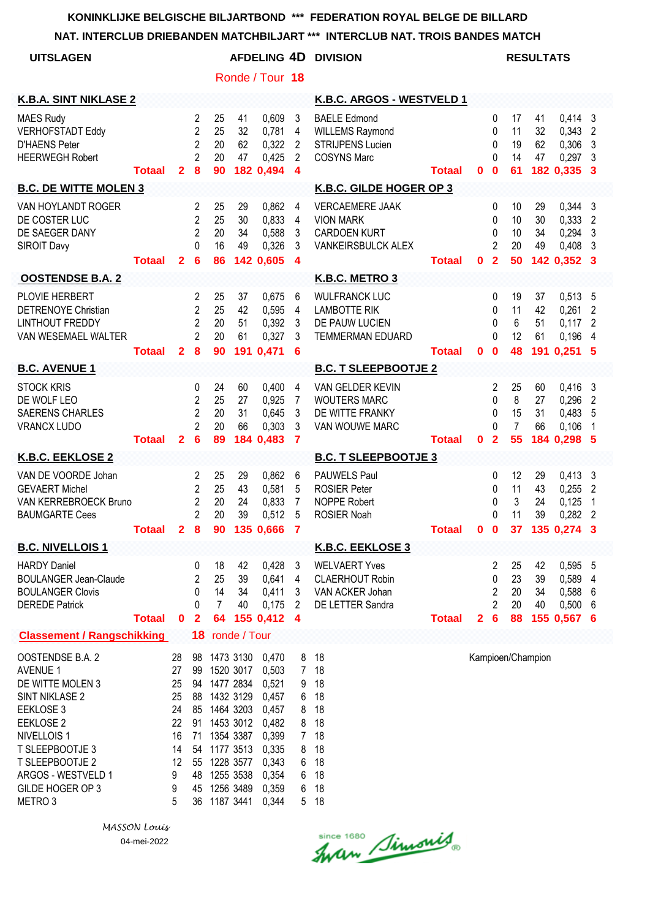#### **NAT. INTERCLUB DRIEBANDEN MATCHBILJART \*\*\* INTERCLUB NAT. TROIS BANDES MATCH**

| NAT. INTERCLUB DRIEBANDEN MATCHBILJART *** INTERCLUB NAT. TROIS BANDES MATCH                                                                                                                                                        |               |                                                                   |                                                                                  |                                                                                                                                                                                        |                      |                                                                                                          |                                                                                    |                                                                                                |               |              |                                                   |                            |                      |                                                             |                                                         |  |
|-------------------------------------------------------------------------------------------------------------------------------------------------------------------------------------------------------------------------------------|---------------|-------------------------------------------------------------------|----------------------------------------------------------------------------------|----------------------------------------------------------------------------------------------------------------------------------------------------------------------------------------|----------------------|----------------------------------------------------------------------------------------------------------|------------------------------------------------------------------------------------|------------------------------------------------------------------------------------------------|---------------|--------------|---------------------------------------------------|----------------------------|----------------------|-------------------------------------------------------------|---------------------------------------------------------|--|
| <b>UITSLAGEN</b>                                                                                                                                                                                                                    |               |                                                                   | <b>AFDELING 4D DIVISION</b>                                                      |                                                                                                                                                                                        |                      |                                                                                                          |                                                                                    |                                                                                                |               |              | <b>RESULTATS</b>                                  |                            |                      |                                                             |                                                         |  |
|                                                                                                                                                                                                                                     |               |                                                                   |                                                                                  |                                                                                                                                                                                        |                      | Ronde / Tour 18                                                                                          |                                                                                    |                                                                                                |               |              |                                                   |                            |                      |                                                             |                                                         |  |
| <b>K.B.A. SINT NIKLASE 2</b>                                                                                                                                                                                                        |               |                                                                   |                                                                                  |                                                                                                                                                                                        |                      |                                                                                                          |                                                                                    | K.B.C. ARGOS - WESTVELD 1                                                                      |               |              |                                                   |                            |                      |                                                             |                                                         |  |
| <b>MAES Rudy</b><br><b>VERHOFSTADT Eddy</b><br><b>D'HAENS Peter</b><br><b>HEERWEGH Robert</b>                                                                                                                                       | <b>Totaal</b> | $\mathbf{2}$                                                      | $\overline{2}$<br>$\overline{2}$<br>$\overline{2}$<br>$\overline{2}$<br>$\bf{8}$ | 25<br>25<br>20<br>20<br>90                                                                                                                                                             | 41<br>32<br>62<br>47 | 0,609<br>0,781<br>0,322<br>0,425<br>182 0,494                                                            | $\mathbf{3}$<br>4<br>$\overline{2}$<br>$\overline{2}$<br>$\overline{4}$            | <b>BAELE Edmond</b><br><b>WILLEMS Raymond</b><br><b>STRIJPENS Lucien</b><br><b>COSYNS Marc</b> | Totaal        | $\mathbf{0}$ | $\mathbf 0$<br>0<br>0<br>$\Omega$<br>$\mathbf{0}$ | 17<br>11<br>19<br>14<br>61 | 41<br>32<br>62<br>47 | $0,414$ 3<br>$0,343$ 2<br>0,306<br>0,297<br>182 0,335 3     | 3<br>3                                                  |  |
| <b>B.C. DE WITTE MOLEN 3</b>                                                                                                                                                                                                        |               |                                                                   |                                                                                  |                                                                                                                                                                                        |                      |                                                                                                          |                                                                                    | K.B.C. GILDE HOGER OP 3                                                                        |               |              |                                                   |                            |                      |                                                             |                                                         |  |
| VAN HOYLANDT ROGER<br>DE COSTER LUC<br>DE SAEGER DANY<br><b>SIROIT Davy</b>                                                                                                                                                         | <b>Totaal</b> | $\overline{2}$                                                    | $\overline{2}$<br>$\overline{2}$<br>$\overline{2}$<br>$\Omega$<br>6              | 25<br>25<br>20<br>16<br>86                                                                                                                                                             | 29<br>30<br>34<br>49 | 0,862<br>0,833<br>0,588<br>0,326<br>142 0.605                                                            | 4<br>$\overline{4}$<br>$\mathbf{3}$<br>3<br>$\overline{4}$                         | <b>VERCAEMERE JAAK</b><br><b>VION MARK</b><br><b>CARDOEN KURT</b><br><b>VANKEIRSBULCK ALEX</b> | <b>Totaal</b> | 0            | 0<br>0<br>0<br>$\overline{2}$<br>$\overline{2}$   | 10<br>10<br>10<br>20<br>50 | 29<br>30<br>34<br>49 | $0,344$ 3<br>0,333<br>$0,294$ 3<br>$0,408$ 3<br>142 0,352 3 | $\overline{2}$                                          |  |
| <b>OOSTENDSE B.A. 2</b>                                                                                                                                                                                                             |               |                                                                   |                                                                                  |                                                                                                                                                                                        |                      |                                                                                                          |                                                                                    | K.B.C. METRO 3                                                                                 |               |              |                                                   |                            |                      |                                                             |                                                         |  |
| PLOVIE HERBERT<br>DETRENOYE Christian<br><b>LINTHOUT FREDDY</b><br>VAN WESEMAEL WALTER                                                                                                                                              | <b>Totaal</b> | $\mathbf{2}$                                                      | $\overline{2}$<br>$\overline{2}$<br>$\overline{2}$<br>$\overline{2}$<br>8        | 25<br>25<br>20<br>20<br>90                                                                                                                                                             | 37<br>42<br>51<br>61 | 0,675<br>0,595<br>0,392<br>0,327<br>191 0,471                                                            | 6<br>$\overline{4}$<br>3<br>3<br>6                                                 | <b>WULFRANCK LUC</b><br><b>LAMBOTTE RIK</b><br>DE PAUW LUCIEN<br><b>TEMMERMAN EDUARD</b>       | <b>Totaal</b> | $\mathbf{0}$ | 0<br>0<br>0<br>$\Omega$<br>$\mathbf{0}$           | 19<br>11<br>6<br>12<br>48  | 37<br>42<br>51<br>61 | 0,513<br>0,261<br>0,117<br>0,196<br>191 0,251 5             | 5<br>$\overline{2}$<br>$\overline{2}$<br>$\overline{4}$ |  |
| <b>B.C. AVENUE 1</b>                                                                                                                                                                                                                |               |                                                                   |                                                                                  |                                                                                                                                                                                        |                      |                                                                                                          |                                                                                    | <b>B.C. T SLEEPBOOTJE 2</b>                                                                    |               |              |                                                   |                            |                      |                                                             |                                                         |  |
| <b>STOCK KRIS</b><br>DE WOLF LEO<br><b>SAERENS CHARLES</b><br><b>VRANCX LUDO</b>                                                                                                                                                    | <b>Totaal</b> | $\overline{2}$                                                    | 0<br>$\overline{2}$<br>$\overline{2}$<br>$\overline{2}$<br>6                     | 24<br>25<br>20<br>20<br>89                                                                                                                                                             | 60<br>27<br>31<br>66 | 0,400<br>0,925<br>0,645<br>0,303<br>184 0,483                                                            | 4<br>7<br>3<br>3<br>$\overline{7}$                                                 | VAN GELDER KEVIN<br><b>WOUTERS MARC</b><br>DE WITTE FRANKY<br>VAN WOUWE MARC                   | <b>Totaal</b> | $\mathbf{0}$ | $\overline{2}$<br>0<br>0<br>0<br>$\overline{2}$   | 25<br>8<br>15<br>7<br>55   | 60<br>27<br>31<br>66 | $0,416$ 3<br>0,296<br>0,483<br>0,106<br>184 0,298 5         | $\overline{2}$<br>5<br>1                                |  |
| <b>K.B.C. EEKLOSE 2</b>                                                                                                                                                                                                             |               |                                                                   |                                                                                  |                                                                                                                                                                                        |                      |                                                                                                          |                                                                                    | <b>B.C. T SLEEPBOOTJE 3</b>                                                                    |               |              |                                                   |                            |                      |                                                             |                                                         |  |
| VAN DE VOORDE Johan<br><b>GEVAERT Michel</b><br>VAN KERREBROECK Bruno<br><b>BAUMGARTE Cees</b>                                                                                                                                      | <b>Totaal</b> | 2 <sup>1</sup>                                                    | 2<br>$\overline{2}$<br>$\overline{2}$<br>$\overline{2}$<br>8                     | 25<br>25<br>20<br>20                                                                                                                                                                   | 29<br>43<br>24<br>39 | 0,862<br>0,581<br>0,833<br>0,512<br>90 135 0,666 7                                                       | 6<br>5<br>$\overline{7}$<br>5                                                      | PAUWELS Paul<br><b>ROSIER Peter</b><br><b>NOPPE Robert</b><br><b>ROSIER Noah</b>               | <b>Totaal</b> | $\mathbf{0}$ | 0<br>0<br>0<br>$\Omega$<br>$\mathbf 0$            | 12<br>11<br>3<br>11        | 29<br>43<br>24<br>39 | $0,413$ 3<br>0,255<br>0,125<br>0,282<br>37 135 0,274 3      | $\overline{2}$<br>1<br>$\overline{2}$                   |  |
| <b>B.C. NIVELLOIS 1</b>                                                                                                                                                                                                             |               |                                                                   |                                                                                  |                                                                                                                                                                                        |                      |                                                                                                          |                                                                                    | <b>K.B.C. EEKLOSE 3</b>                                                                        |               |              |                                                   |                            |                      |                                                             |                                                         |  |
| <b>HARDY Daniel</b><br><b>BOULANGER Jean-Claude</b><br><b>BOULANGER Clovis</b><br><b>DEREDE Patrick</b>                                                                                                                             | <b>Totaal</b> | $\mathbf 0$                                                       | 0<br>2<br>0<br>0<br>$\overline{2}$                                               | 18<br>25<br>14<br>7<br>64                                                                                                                                                              | 42<br>39<br>34<br>40 | 0,428<br>0,641<br>0,411<br>0,175<br>155 0,412                                                            | -3<br>4<br>$\mathbf{3}$<br>2<br>4                                                  | <b>WELVAERT Yves</b><br><b>CLAERHOUT Robin</b><br>VAN ACKER Johan<br>DE LETTER Sandra          | <b>Totaal</b> | $\mathbf{2}$ | 2<br>0<br>2<br>2<br>6                             | 25<br>23<br>20<br>20<br>88 | 42<br>39<br>34<br>40 | 0,595 5<br>0,589<br>0,588<br>0,500<br>155 0,567 6           | 4<br>6<br>6                                             |  |
| <b>Classement / Rangschikking</b>                                                                                                                                                                                                   |               |                                                                   |                                                                                  | 18 ronde / Tour                                                                                                                                                                        |                      |                                                                                                          |                                                                                    |                                                                                                |               |              |                                                   |                            |                      |                                                             |                                                         |  |
| OOSTENDSE B.A. 2<br><b>AVENUE 1</b><br>DE WITTE MOLEN 3<br>SINT NIKLASE 2<br>EEKLOSE 3<br>EEKLOSE 2<br>NIVELLOIS <sub>1</sub><br>T SLEEPBOOTJE 3<br>T SLEEPBOOTJE 2<br>ARGOS - WESTVELD 1<br>GILDE HOGER OP 3<br>METRO <sub>3</sub> |               | 28<br>27<br>25<br>25<br>24<br>22<br>16<br>14<br>12<br>9<br>9<br>5 | 91<br>71                                                                         | 98 1473 3130<br>99 1520 3017<br>94 1477 2834<br>88 1432 3129<br>85 1464 3203<br>1453 3012<br>1354 3387<br>54 1177 3513<br>55 1228 3577<br>48 1255 3538<br>45 1256 3489<br>36 1187 3441 |                      | 0,470<br>0,503<br>0,521<br>0,457<br>0,457<br>0,482<br>0,399<br>0,335<br>0,343<br>0,354<br>0,359<br>0,344 | 8<br>7 <sup>1</sup><br>9<br>6<br>8<br>8<br>$\overline{7}$<br>8<br>6<br>6<br>6<br>5 | 18<br>18<br>18<br>18<br>18<br>18<br>18<br>18<br>18<br>18<br>18<br>18                           |               |              |                                                   |                            | Kampioen/Champion    |                                                             |                                                         |  |

Since 1680 Simonis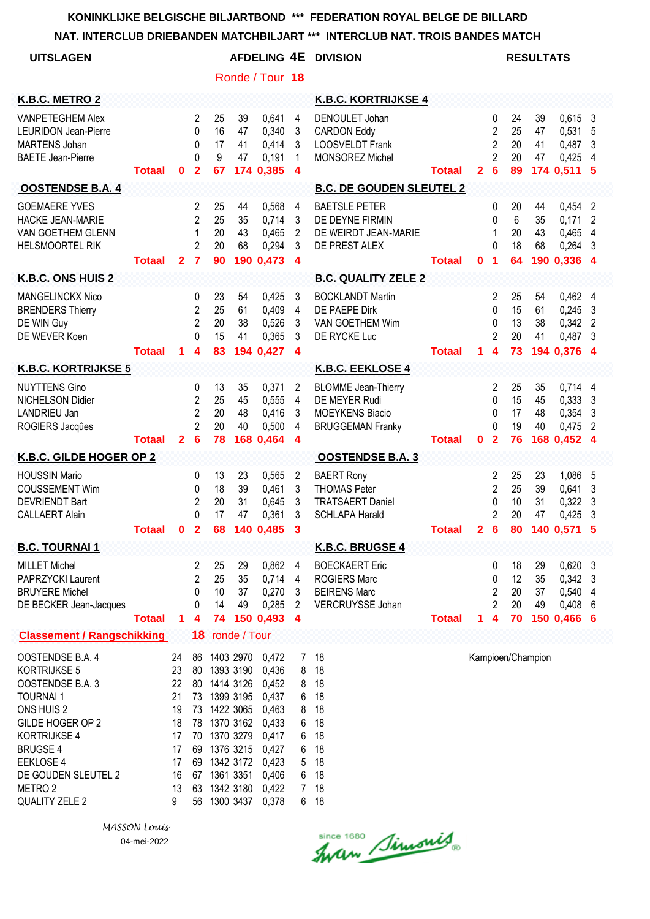**NAT. INTERCLUB DRIEBANDEN MATCHBILJART \*\*\* INTERCLUB NAT. TROIS BANDES MATCH**

| <b>UITSLAGEN</b>                                                                                                                                                                                                            |               |                                                                     |                                                                            |                                                               |                                                                                         | Ronde / Tour 18                                                                                          |                                                                           | <b>AFDELING 4E DIVISION</b>                                                                      |               |                |                                                                                  |                            | <b>RESULTATS</b>     |                                                     |                               |
|-----------------------------------------------------------------------------------------------------------------------------------------------------------------------------------------------------------------------------|---------------|---------------------------------------------------------------------|----------------------------------------------------------------------------|---------------------------------------------------------------|-----------------------------------------------------------------------------------------|----------------------------------------------------------------------------------------------------------|---------------------------------------------------------------------------|--------------------------------------------------------------------------------------------------|---------------|----------------|----------------------------------------------------------------------------------|----------------------------|----------------------|-----------------------------------------------------|-------------------------------|
|                                                                                                                                                                                                                             |               |                                                                     |                                                                            |                                                               |                                                                                         |                                                                                                          |                                                                           |                                                                                                  |               |                |                                                                                  |                            |                      |                                                     |                               |
| K.B.C. METRO 2                                                                                                                                                                                                              |               |                                                                     |                                                                            |                                                               |                                                                                         |                                                                                                          |                                                                           | <b>K.B.C. KORTRIJKSE 4</b>                                                                       |               |                |                                                                                  |                            |                      |                                                     |                               |
| <b>VANPETEGHEM Alex</b><br><b>LEURIDON Jean-Pierre</b><br><b>MARTENS Johan</b><br><b>BAETE Jean-Pierre</b>                                                                                                                  | <b>Totaal</b> | $\bf{0}$                                                            | 2<br>0<br>0<br>0<br>$\overline{\mathbf{2}}$                                | 25<br>16<br>17<br>9<br>67                                     | 39<br>47<br>41<br>47                                                                    | 0.641<br>0,340<br>0,414<br>0,191<br>174 0,385                                                            | $\overline{4}$<br>3<br>3<br>1<br>$\overline{\mathbf{4}}$                  | DENOULET Johan<br><b>CARDON Eddy</b><br><b>LOOSVELDT Frank</b><br>MONSOREZ Michel                | <b>Totaal</b> | $\overline{2}$ | 0<br>$\overline{c}$<br>$\overline{2}$<br>$\overline{2}$<br>$6\phantom{1}6$       | 24<br>25<br>20<br>20<br>89 | 39<br>47<br>41<br>47 | $0,615$ 3<br>0,531<br>0,487<br>0,425<br>174 0,511   | 5<br>3<br>4<br>-5             |
| <b>OOSTENDSE B.A. 4</b>                                                                                                                                                                                                     |               |                                                                     |                                                                            |                                                               |                                                                                         |                                                                                                          |                                                                           | <b>B.C. DE GOUDEN SLEUTEL 2</b>                                                                  |               |                |                                                                                  |                            |                      |                                                     |                               |
| <b>GOEMAERE YVES</b><br><b>HACKE JEAN-MARIE</b><br>VAN GOETHEM GLENN<br><b>HELSMOORTEL RIK</b>                                                                                                                              | <b>Totaal</b> | $\mathbf{2}$                                                        | 2<br>$\overline{2}$<br>1<br>$\overline{c}$<br>$\overline{7}$               | 25<br>25<br>20<br>20<br>90                                    | 44<br>35<br>43<br>68                                                                    | 0,568<br>0,714<br>0,465<br>0,294<br>190 0,473                                                            | $\overline{4}$<br>3<br>2<br>3<br>$\boldsymbol{4}$                         | <b>BAETSLE PETER</b><br>DE DEYNE FIRMIN<br>DE WEIRDT JEAN-MARIE<br>DE PREST ALEX                 | <b>Totaal</b> | 0              | 0<br>$\Omega$<br>1<br>$\Omega$<br>1                                              | 20<br>6<br>20<br>18<br>64  | 44<br>35<br>43<br>68 | 0,454<br>0,171<br>0,465<br>0,264<br>190 0,336 4     | 2<br>2<br>4<br>3              |
| K.B.C. ONS HUIS 2                                                                                                                                                                                                           |               |                                                                     |                                                                            |                                                               |                                                                                         |                                                                                                          |                                                                           | <b>B.C. QUALITY ZELE 2</b>                                                                       |               |                |                                                                                  |                            |                      |                                                     |                               |
| MANGELINCKX Nico<br><b>BRENDERS Thierry</b><br>DE WIN Guy<br>DE WEVER Koen                                                                                                                                                  | <b>Totaal</b> | 1.                                                                  | 0<br>$\overline{\mathbf{c}}$<br>$\overline{c}$<br>0<br>4                   | 23<br>25<br>20<br>15<br>83                                    | 54<br>61<br>38<br>41                                                                    | 0,425<br>0,409<br>0,526<br>0,365<br>194 0,427                                                            | 3<br>$\overline{\mathbf{4}}$<br>3<br>3<br>4                               | <b>BOCKLANDT Martin</b><br>DE PAEPE Dirk<br>VAN GOETHEM Wim<br>DE RYCKE Luc                      | <b>Totaal</b> | $\mathbf{1}$   | $\overline{2}$<br>$\mathbf{0}$<br>0<br>$\overline{2}$<br>$\overline{\mathbf{4}}$ | 25<br>15<br>13<br>20<br>73 | 54<br>61<br>38<br>41 | 0,462<br>0,245<br>0,342<br>0,487<br>194 0,376 4     | 4<br>3<br>$\overline{2}$<br>3 |
| <b>K.B.C. KORTRIJKSE 5</b>                                                                                                                                                                                                  |               |                                                                     |                                                                            |                                                               |                                                                                         |                                                                                                          |                                                                           | <b>K.B.C. EEKLOSE 4</b>                                                                          |               |                |                                                                                  |                            |                      |                                                     |                               |
| <b>NUYTTENS Gino</b><br><b>NICHELSON Didier</b><br>LANDRIEU Jan<br>ROGIERS Jacques                                                                                                                                          | Totaal        | $\overline{2}$                                                      | 0<br>$\overline{c}$<br>$\overline{2}$<br>$\overline{2}$<br>$6\phantom{1}6$ | 13<br>25<br>20<br>20<br>78                                    | 35<br>45<br>48<br>40                                                                    | 0,371<br>0,555<br>0,416<br>0,500<br>168 0,464                                                            | $\overline{2}$<br>4<br>3<br>4<br>$\overline{\mathbf{4}}$                  | <b>BLOMME</b> Jean-Thierry<br>DE MEYER Rudi<br><b>MOEYKENS Biacio</b><br><b>BRUGGEMAN Franky</b> | <b>Totaal</b> | 0              | 2<br>$\Omega$<br>0<br>$\Omega$<br>$\overline{2}$                                 | 25<br>15<br>17<br>19<br>76 | 35<br>45<br>48<br>40 | $0,714$ 4<br>0,333<br>0,354<br>0,475<br>168 0,452 4 | 3<br>3<br>$\overline{2}$      |
| K.B.C. GILDE HOGER OP 2                                                                                                                                                                                                     |               |                                                                     |                                                                            |                                                               |                                                                                         |                                                                                                          |                                                                           | <b>OOSTENDSE B.A. 3</b>                                                                          |               |                |                                                                                  |                            |                      |                                                     |                               |
| <b>HOUSSIN Mario</b><br><b>COUSSEMENT Wim</b><br><b>DEVRIENDT Bart</b><br><b>CALLAERT Alain</b>                                                                                                                             | Totaal 0      |                                                                     | 0<br>0<br>$\overline{2}$<br>0<br>$\overline{2}$                            | 13<br>18<br>20<br>17<br>68                                    | 23<br>39<br>31<br>47                                                                    | 0,565<br>0,461<br>0,645<br>0,361<br>140 0,485                                                            | 2<br>3<br>3<br>3<br>3                                                     | <b>BAERT Rony</b><br><b>THOMAS Peter</b><br><b>TRATSAERT Daniel</b><br><b>SCHLAPA Harald</b>     | <b>Totaal</b> | 2 <sub>6</sub> | 2<br>$\overline{2}$<br>$\Omega$<br>$\overline{2}$                                | 25<br>25<br>10<br>20<br>80 | 23<br>39<br>31<br>47 | 1,086<br>0,641<br>0,322<br>0,425<br>140 0,571       | 5<br>3<br>3<br>3<br>5         |
| <b>B.C. TOURNAI 1</b>                                                                                                                                                                                                       |               |                                                                     |                                                                            |                                                               |                                                                                         |                                                                                                          |                                                                           | <b>K.B.C. BRUGSE 4</b>                                                                           |               |                |                                                                                  |                            |                      |                                                     |                               |
| <b>MILLET Michel</b><br>PAPRZYCKI Laurent<br><b>BRUYERE Michel</b><br>DE BECKER Jean-Jacques                                                                                                                                | <b>Totaal</b> | 1                                                                   | 2<br>2<br>0<br>0<br>4                                                      | 25<br>25<br>10<br>14<br>74                                    | 29<br>35<br>37<br>49                                                                    | 0,862<br>0,714<br>0,270<br>0,285<br>150 0,493                                                            | $\overline{4}$<br>4<br>3<br>$\overline{2}$<br>$\overline{4}$              | <b>BOECKAERT Eric</b><br><b>ROGIERS Marc</b><br><b>BEIRENS Marc</b><br>VERCRUYSSE Johan          | <b>Totaal</b> | $\mathbf 1$    | 0<br>0<br>$\overline{2}$<br>$\overline{2}$<br>$\overline{\mathbf{4}}$            | 18<br>12<br>20<br>20<br>70 | 29<br>35<br>37<br>49 | $0,620$ 3<br>0,342<br>0,540<br>0,408<br>150 0,466 6 | 3<br>4<br>6                   |
| <b>Classement / Rangschikking</b>                                                                                                                                                                                           |               |                                                                     | 18                                                                         |                                                               | ronde / Tour                                                                            |                                                                                                          |                                                                           |                                                                                                  |               |                |                                                                                  |                            |                      |                                                     |                               |
| OOSTENDSE B.A. 4<br>KORTRIJKSE 5<br>OOSTENDSE B.A. 3<br><b>TOURNAI1</b><br>ONS HUIS 2<br>GILDE HOGER OP 2<br><b>KORTRIJKSE 4</b><br><b>BRUGSE 4</b><br><b>EEKLOSE 4</b><br>DE GOUDEN SLEUTEL 2<br>METRO 2<br>QUALITY ZELE 2 |               | 24<br>23<br>22<br>21<br>19<br>18<br>17<br>17<br>17<br>16<br>13<br>9 | 86<br>80<br>80<br>73<br>73<br>78<br>70<br>69<br>69<br>67<br>63<br>56       | 1393 3190<br>1422 3065<br>1370 3162<br>1370 3279<br>1361 3351 | 1403 2970<br>1414 3126<br>1399 3195<br>1376 3215<br>1342 3172<br>1342 3180<br>1300 3437 | 0,472<br>0,436<br>0,452<br>0,437<br>0,463<br>0,433<br>0,417<br>0,427<br>0,423<br>0,406<br>0,422<br>0,378 | 7<br>8<br>8<br>6<br>8<br>6<br>6<br>6<br>5<br>6<br>7 <sup>1</sup><br>$6 -$ | 18<br>18<br>18<br>18<br>18<br>18<br>18<br>18<br>18<br>18<br>18<br>18                             |               |                |                                                                                  |                            | Kampioen/Champion    |                                                     |                               |

Since 1680 Simonis